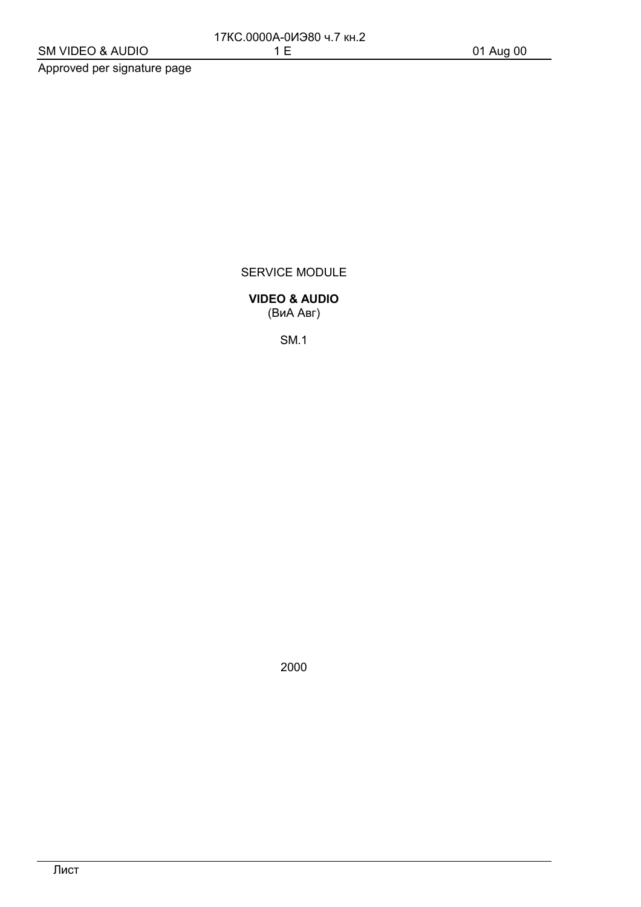Approved per signature page

SERVICE MODULE

**VIDEO & AUDIO** (ВиА Авг)

**SM.1** 

2000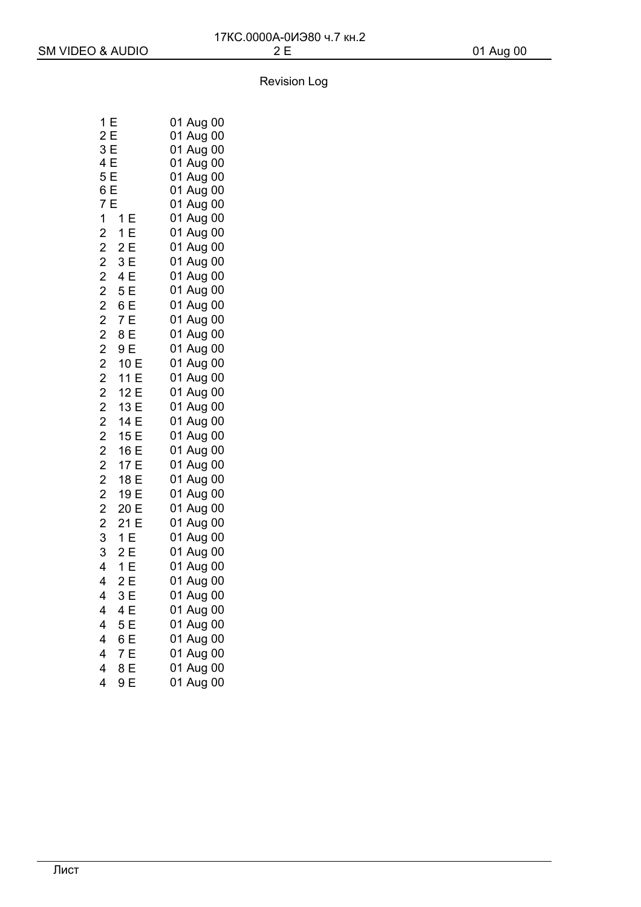| 1<br>E                     | 01 Aug 00    |
|----------------------------|--------------|
| 2E                         | 01 Aug<br>00 |
| 3E                         | 01<br>Aug 00 |
| - 4 5 6 7 -<br>- 4 5 6 7 - | 01 Aug 00    |
|                            | 01 Aug 00    |
|                            | 01 Aug 00    |
|                            | 01 Aug 00    |
| $1 - 1E$                   | 01 Aug 00    |
| $2 - 1 E$                  | 01 Aug 00    |
| $2 - 2E$                   | 01 Aug 00    |
| $2 - 3E$                   | 01 Aug 00    |
| $2-4E$                     | 01 Aug 00    |
| $2 - 5E$                   | 01 Aug 00    |
| $2 - 6E$                   | 01 Aug 00    |
| $2 - 7E$                   | 01 Aug 00    |
| $2 - 8 E$                  | 01 Aug 00    |
| $2 - 9E$                   | 01 Aug 00    |
| $2 - 10 E$                 | 01 Aug 00    |
| $2 - 11E$                  | 01 Aug 00    |
| $2 - 12$<br>E              | 01 Aug 00    |
| $2 - 13E$                  | 01 Aug 00    |
| $2 - 14 E$                 | 01 Aug 00    |
| $2 - 15E$                  | 01 Aug 00    |
| $2 - 16E$                  | 01 Aug 00    |
| $2 - 17E$                  | 01<br>Aug 00 |
| $2 - 18E$                  | 01<br>Aug 00 |
| $2 - 19E$                  | 01 Aug 00    |
| $2 - 20 E$                 | Aug 00<br>01 |
| $2 - 21E$                  | 01<br>Aug 00 |
| $3 - 1$ E                  | 01 Aug 00    |
| $3 - 2E$                   | 01 Aug 00    |
| E<br>$4 - 1$               | 01 Aug 00    |
| 2E<br>$\overline{4}$       | 01<br>Aug 00 |
| $4 - 3E$                   | 01 Aug 00    |
| 4—4 E                      | 01 Aug 00    |
| 4 <sup>-5</sup> E          | 01 Aug 00    |
| $4 - 6E$                   | 01 Aug 00    |
| $4 - 7E$                   | 01 Aug 00    |
| $4 - 8$ E                  | 01 Aug 00    |
| $4 - 9E$                   | 01 Aug 00    |
|                            |              |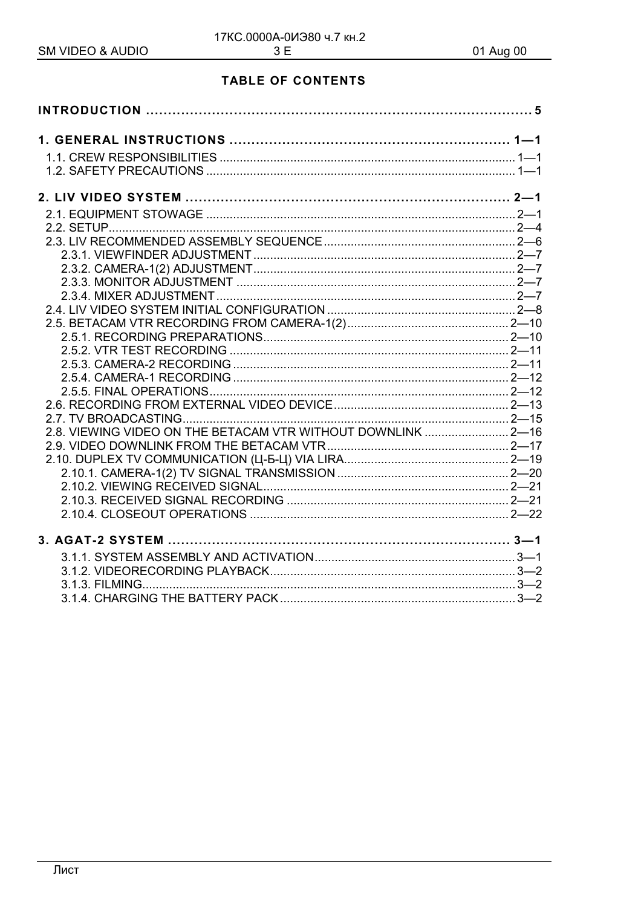## **TABLE OF CONTENTS**

| 2.8. VIEWING VIDEO ON THE BETACAM VTR WITHOUT DOWNLINK  2-16 |  |
|--------------------------------------------------------------|--|
|                                                              |  |
|                                                              |  |
|                                                              |  |
|                                                              |  |
|                                                              |  |
|                                                              |  |
|                                                              |  |
|                                                              |  |
|                                                              |  |
|                                                              |  |
|                                                              |  |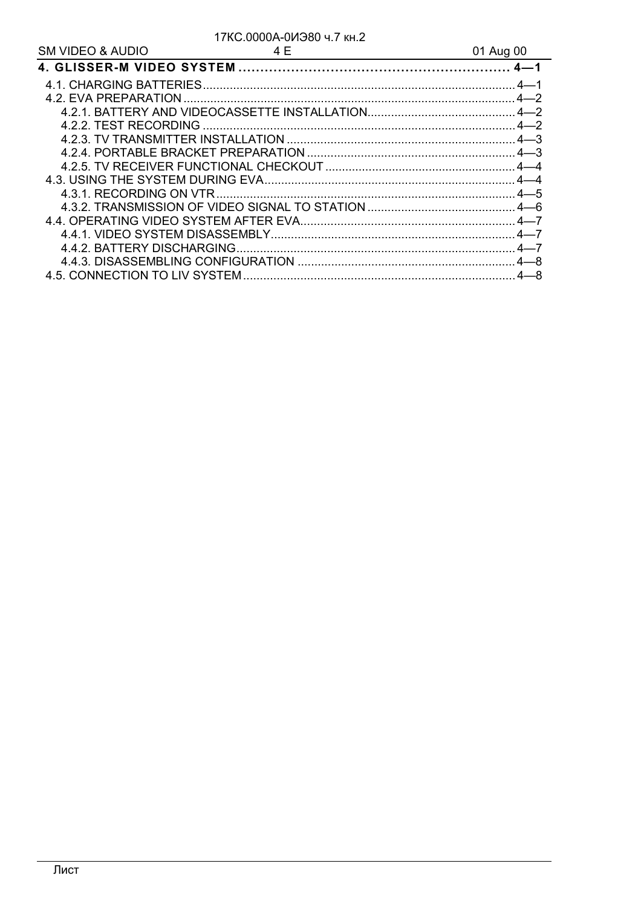#### 17КС.0000А-0ИЭ80 ч.7 кн.2  $4F$

| <b>SM VIDEO &amp; AUDIO</b> | 4 F | 01 Aug 00 |
|-----------------------------|-----|-----------|
|                             |     |           |
|                             |     |           |
|                             |     |           |
|                             |     |           |
|                             |     |           |
|                             |     |           |
|                             |     |           |
|                             |     |           |
|                             |     |           |
|                             |     |           |
|                             |     |           |
|                             |     |           |
|                             |     |           |
|                             |     |           |
|                             |     |           |
|                             |     |           |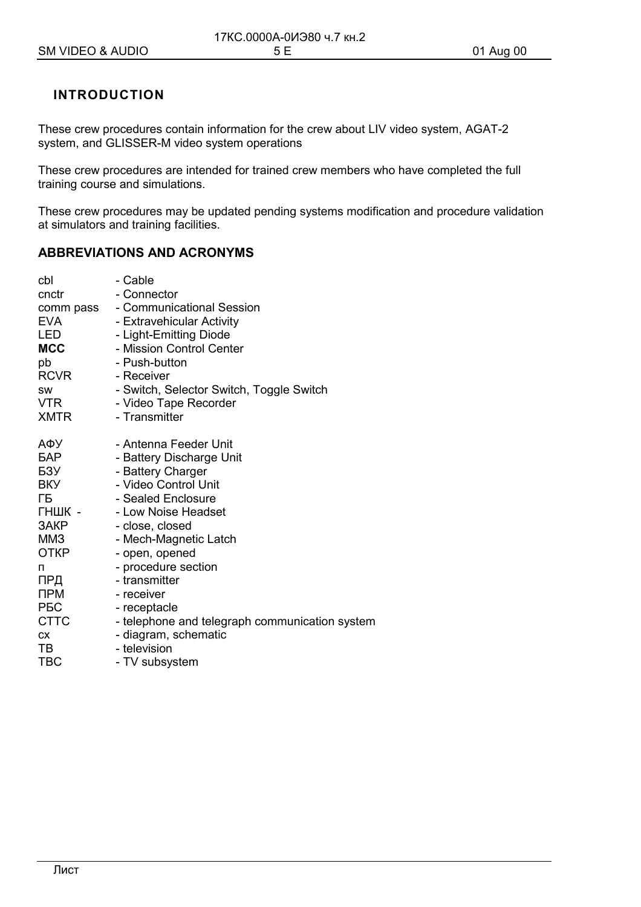## **INTRODUCTION**

These crew procedures contain information for the crew about LIV video system, AGAT-2 system, and GLISSER-M video system operations

These crew procedures are intended for trained crew members who have completed the full training course and simulations.

These crew procedures may be updated pending systems modification and procedure validation at simulators and training facilities.

## **ABBREVIATIONS AND ACRONYMS**

| cbl         | - Cable                                        |
|-------------|------------------------------------------------|
| cnctr       | - Connector                                    |
| comm pass   | - Communicational Session                      |
| <b>EVA</b>  | - Extravehicular Activity                      |
| LED         | - Light-Emitting Diode                         |
| <b>MCC</b>  | - Mission Control Center                       |
| pb          | - Push-button                                  |
| RCVR        | - Receiver                                     |
| SW          | - Switch, Selector Switch, Toggle Switch       |
| <b>VTR</b>  | - Video Tape Recorder                          |
| <b>XMTR</b> | - Transmitter                                  |
|             |                                                |
| АФУ         | - Antenna Feeder Unit                          |
| <b>GAP</b>  | - Battery Discharge Unit                       |
| БЗУ         | - Battery Charger                              |
| <b>BKY</b>  | - Video Control Unit                           |
| ΓБ          | - Sealed Enclosure                             |
| ГНШК -      | - Low Noise Headset                            |
| ЗАКР        | - close, closed                                |
| MM3         | - Mech-Magnetic Latch                          |
| ОТКР        | - open, opened                                 |
| п           | - procedure section                            |
| ПРД         | - transmitter                                  |
| <b>NPM</b>  | - receiver                                     |
| <b>PEC</b>  | - receptacle                                   |
| <b>CTTC</b> | - telephone and telegraph communication system |
| <b>CX</b>   | - diagram, schematic                           |
| TВ          | - television                                   |
| <b>TBC</b>  | - TV subsystem                                 |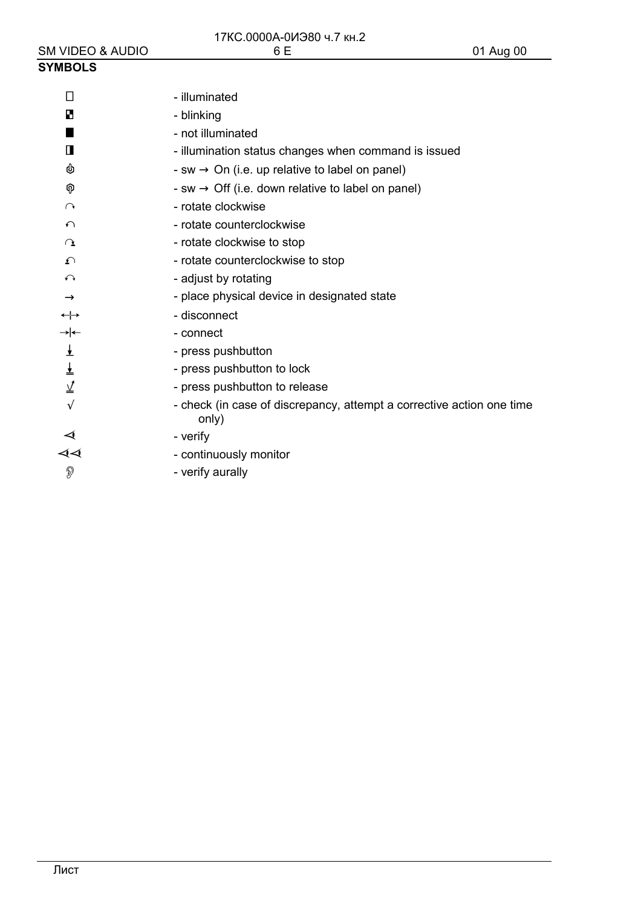#### **SYMBOLS**  $\Box$ - illuminated в - blinking п - not illuminated  $\mathbf{\Pi}$ - illumination status changes when command is issued ψ - sw  $\rightarrow$  On (i.e. up relative to label on panel) - sw  $\rightarrow$  Off (i.e. down relative to label on panel) କ  $\cap$ - rotate clockwise  $\Omega$ - rotate counterclockwise - rotate clockwise to stop  $\Omega$ - rotate counterclockwise to stop  $\Omega$  $\curvearrowleft$ - adjust by rotating - place physical device in designated state  $\rightarrow$ - disconnect  $\leftrightarrow$  $\rightarrow$ - connect  $\frac{1}{\sqrt{2}}$ - press pushbutton ± - press pushbutton to lock  $\overline{\Lambda}$ - press pushbutton to release  $\sqrt{ }$ - check (in case of discrepancy, attempt a corrective action one time only)  $\blacktriangleleft$ - verify ∢∢ - continuously monitor  $\mathbb{D}$ - verify aurally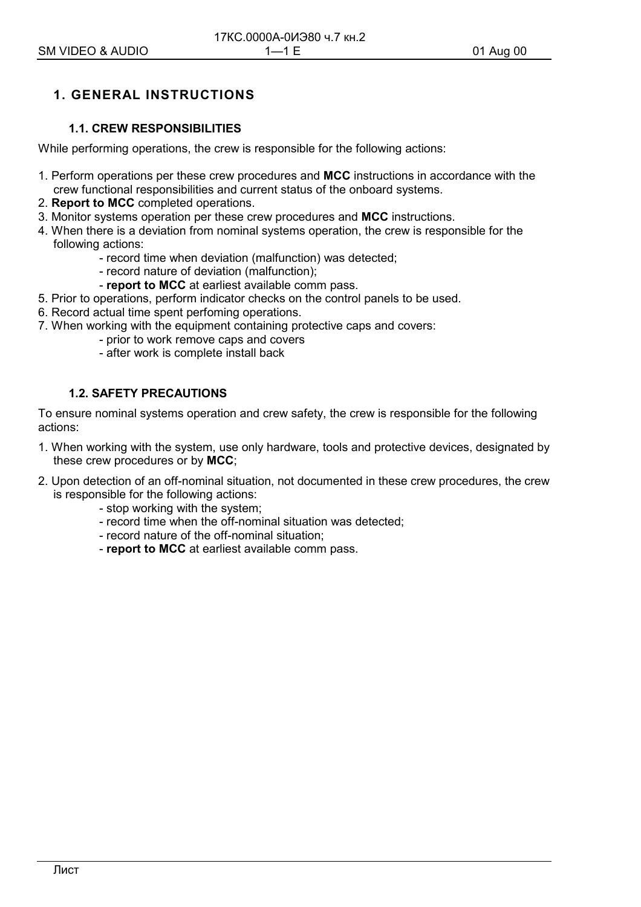## **1. GENERAL INSTRUCTIONS**

## **1.1. CREW RESPONSIBILITIES**

While performing operations, the crew is responsible for the following actions:

- 1. Perform operations per these crew procedures and **MCC** instructions in accordance with the crew functional responsibilities and current status of the onboard systems.
- 2. **Report to MCC** completed operations.
- 3. Monitor systems operation per these crew procedures and **MCC** instructions.
- 4. When there is a deviation from nominal systems operation, the crew is responsible for the following actions:
	- record time when deviation (malfunction) was detected;
	- record nature of deviation (malfunction);
	- **report to MCC** at earliest available comm pass.
- 5. Prior to operations, perform indicator checks on the control panels to be used.
- 6. Record actual time spent perfoming operations.
- 7. When working with the equipment containing protective caps and covers:
	- prior to work remove caps and covers
	- after work is complete install back

## **1.2. SAFETY PRECAUTIONS**

To ensure nominal systems operation and crew safety, the crew is responsible for the following actions:

- 1. When working with the system, use only hardware, tools and protective devices, designated by these crew procedures or by **MCC**;
- 2. Upon detection of an off-nominal situation, not documented in these crew procedures, the crew is responsible for the following actions:
	- stop working with the system;
	- record time when the off-nominal situation was detected;
	- record nature of the off-nominal situation;
	- **report to MCC** at earliest available comm pass.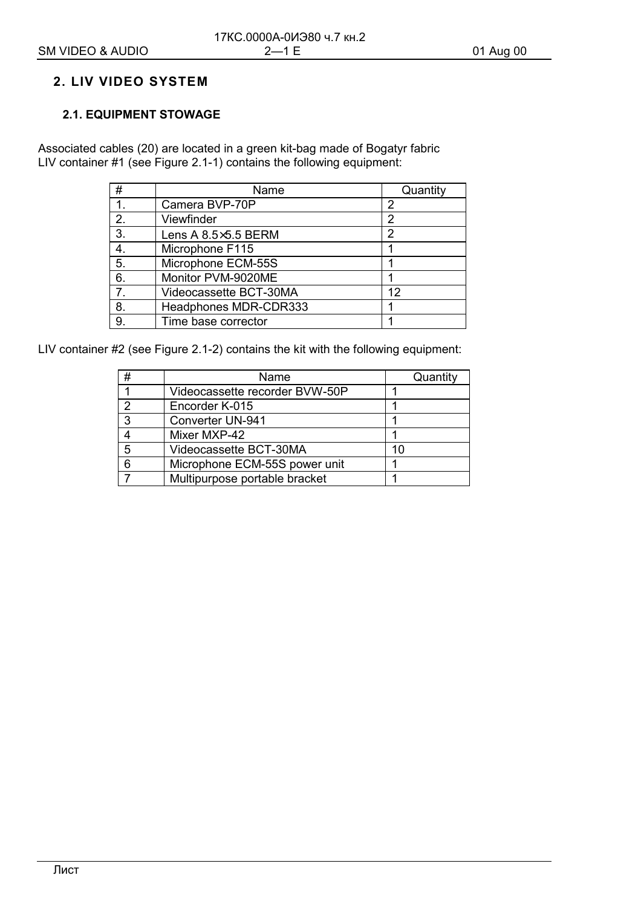## **2. LIV VIDEO SYSTEM**

## **2.1. EQUIPMENT STOWAGE**

Associated cables (20) are located in a green kit-bag made of Bogatyr fabric LIV container #1 (see Figure 2.1-1) contains the following equipment:

| #              | Name                   | Quantity |
|----------------|------------------------|----------|
| 1.             | Camera BVP-70P         |          |
| 2.             | Viewfinder             | 2        |
| 3.             | Lens A 8.5×5.5 BERM    | 2        |
| 4.             | Microphone F115        |          |
| 5.             | Microphone ECM-55S     |          |
| 6.             | Monitor PVM-9020ME     |          |
| 7 <sub>1</sub> | Videocassette BCT-30MA | 12       |
| 8.             | Headphones MDR-CDR333  |          |
| 9.             | Time base corrector    |          |

LIV container #2 (see Figure 2.1-2) contains the kit with the following equipment:

| # | Name                           | Quantity |
|---|--------------------------------|----------|
|   | Videocassette recorder BVW-50P |          |
| 2 | Encorder K-015                 |          |
| 3 | Converter UN-941               |          |
|   | Mixer MXP-42                   |          |
| 5 | Videocassette BCT-30MA         | 10       |
| 6 | Microphone ECM-55S power unit  |          |
|   | Multipurpose portable bracket  |          |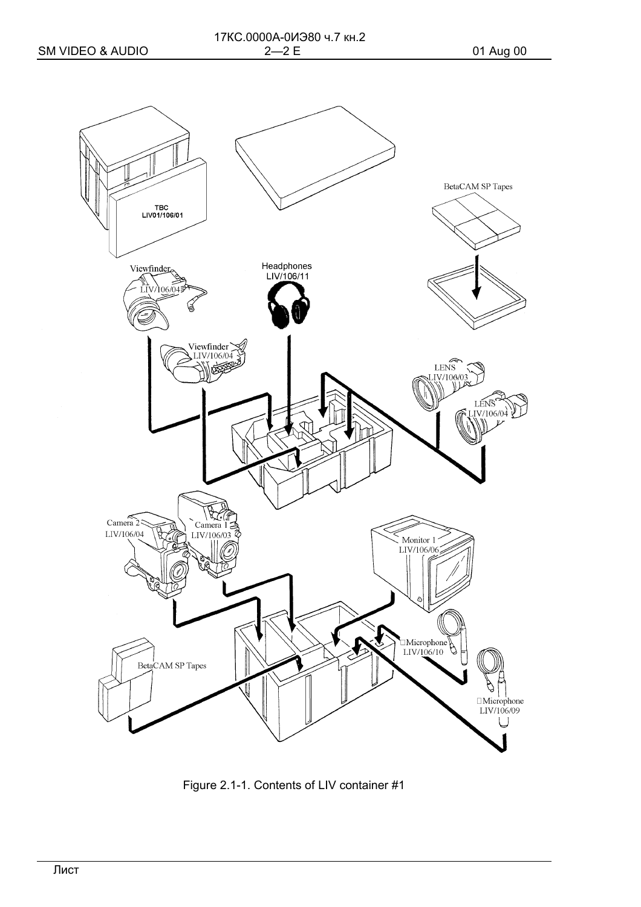

Figure 2.1-1. Contents of LIV container #1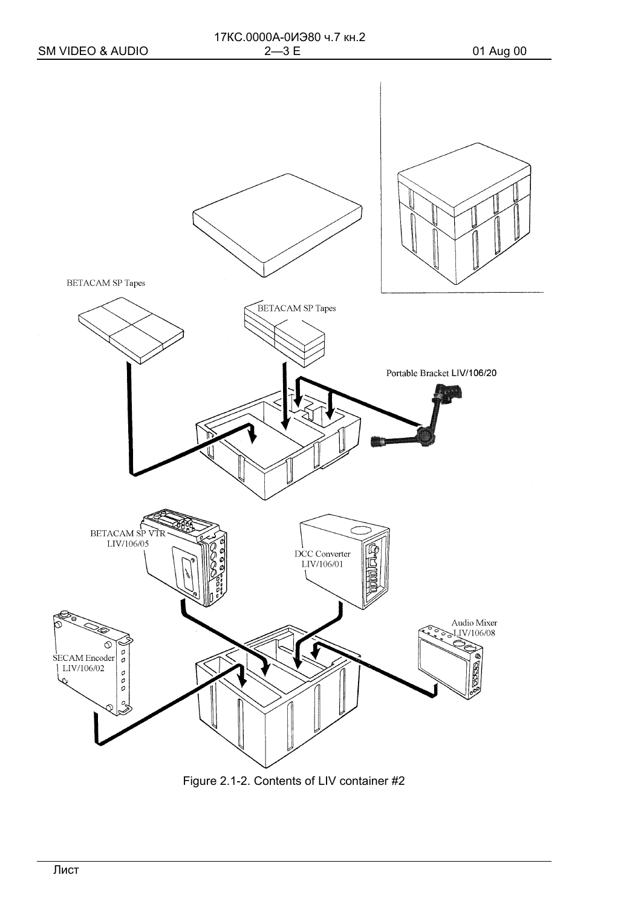

Figure 2.1-2. Contents of LIV container #2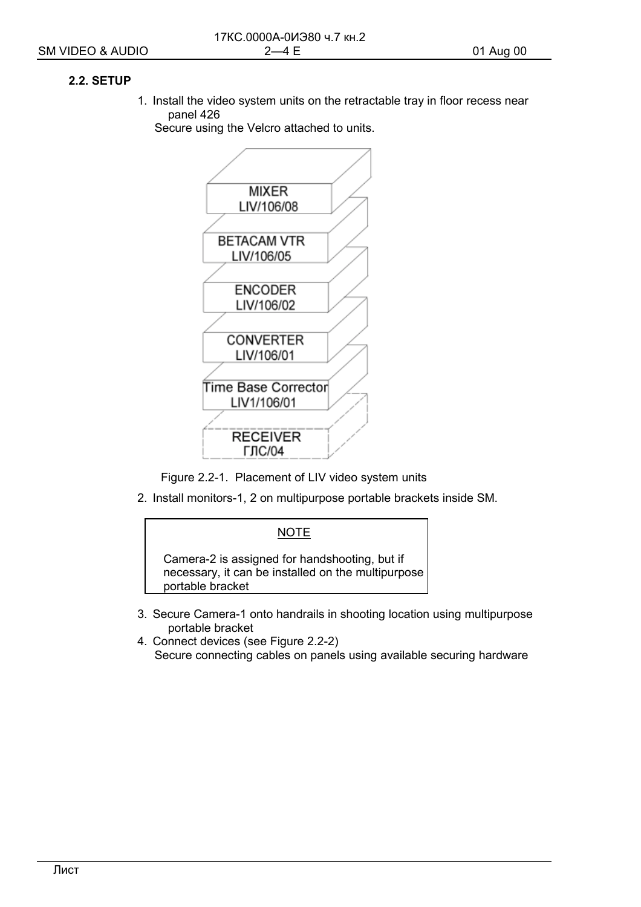## 2.2. SETUP

1. Install the video system units on the retractable tray in floor recess near panel 426

Secure using the Velcro attached to units.



Figure 2.2-1. Placement of LIV video system units

2. Install monitors-1, 2 on multipurpose portable brackets inside SM.



- 3. Secure Camera-1 onto handrails in shooting location using multipurpose portable bracket
- 4. Connect devices (see Figure 2.2-2) Secure connecting cables on panels using available securing hardware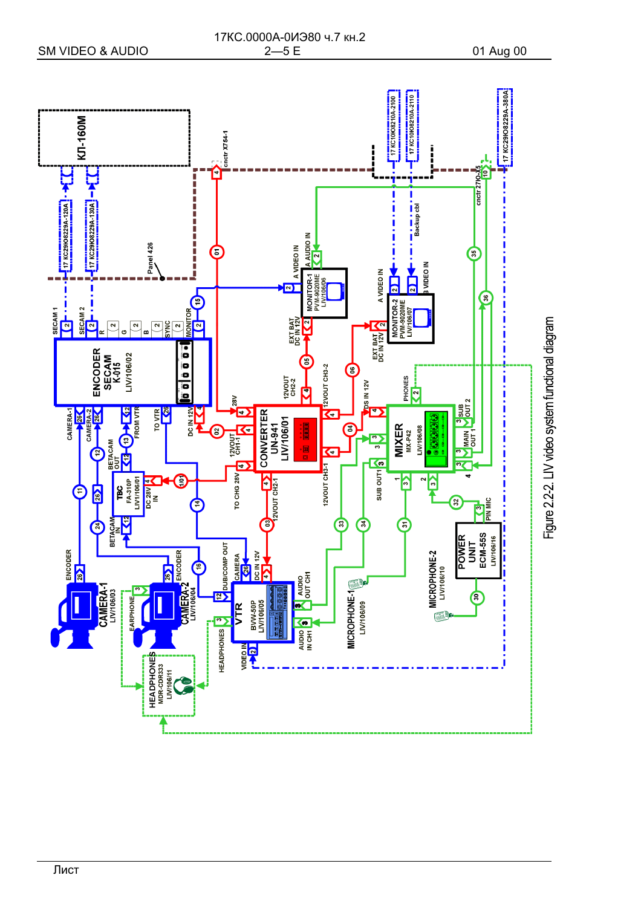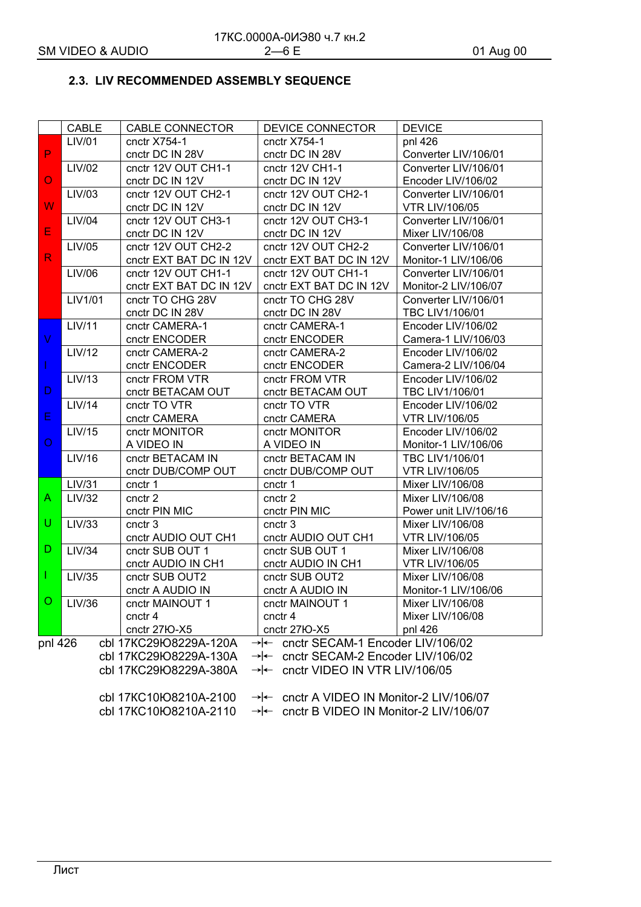## 2.3. LIV RECOMMENDED ASSEMBLY SEQUENCE

|              | CABLE                                                                         | <b>CABLE CONNECTOR</b>  | DEVICE CONNECTOR                                      | <b>DEVICE</b>         |  |
|--------------|-------------------------------------------------------------------------------|-------------------------|-------------------------------------------------------|-----------------------|--|
|              | LIV/01                                                                        | cnctr X754-1            | cnctr X754-1                                          | pnl 426               |  |
| P            |                                                                               | cnctr DC IN 28V         | cnctr DC IN 28V                                       | Converter LIV/106/01  |  |
|              | LIV/02                                                                        | cnctr 12V OUT CH1-1     | cnctr 12V CH1-1                                       | Converter LIV/106/01  |  |
| $\circ$      |                                                                               | cnctr DC IN 12V         | cnctr DC IN 12V                                       | Encoder LIV/106/02    |  |
|              | LIV/03                                                                        | cnctr 12V OUT CH2-1     | cnctr 12V OUT CH2-1                                   | Converter LIV/106/01  |  |
| W            |                                                                               | cnctr DC IN 12V         | cnctr DC IN 12V                                       | <b>VTR LIV/106/05</b> |  |
|              | LIV/04                                                                        | cnctr 12V OUT CH3-1     | cnctr 12V OUT CH3-1                                   | Converter LIV/106/01  |  |
| E            |                                                                               | cnctr DC IN 12V         | cnctr DC IN 12V                                       | Mixer LIV/106/08      |  |
|              | LIV/05                                                                        | cnctr 12V OUT CH2-2     | cnctr 12V OUT CH2-2                                   | Converter LIV/106/01  |  |
| $\mathsf{R}$ |                                                                               | cnctr EXT BAT DC IN 12V | cnctr EXT BAT DC IN 12V                               | Monitor-1 LIV/106/06  |  |
|              | LIV/06                                                                        | cnctr 12V OUT CH1-1     | cnctr 12V OUT CH1-1                                   | Converter LIV/106/01  |  |
|              |                                                                               | cnctr EXT BAT DC IN 12V | cnctr EXT BAT DC IN 12V                               | Monitor-2 LIV/106/07  |  |
|              | LIV1/01                                                                       | cnctr TO CHG 28V        | cnctr TO CHG 28V                                      | Converter LIV/106/01  |  |
|              |                                                                               | cnctr DC IN 28V         | cnctr DC IN 28V                                       | TBC LIV1/106/01       |  |
|              | <b>LIV/11</b>                                                                 | cnctr CAMERA-1          | cnctr CAMERA-1                                        | Encoder LIV/106/02    |  |
| V            |                                                                               | cnctr ENCODER           | cnctr ENCODER                                         | Camera-1 LIV/106/03   |  |
|              | <b>LIV/12</b>                                                                 | cnctr CAMERA-2          | cnctr CAMERA-2                                        | Encoder LIV/106/02    |  |
|              |                                                                               | cnctr ENCODER           | cnctr ENCODER                                         | Camera-2 LIV/106/04   |  |
|              | LIV/13                                                                        | cnctr FROM VTR          | cnctr FROM VTR                                        | Encoder LIV/106/02    |  |
| D            |                                                                               | cnctr BETACAM OUT       | cnctr BETACAM OUT                                     | TBC LIV1/106/01       |  |
|              | <b>LIV/14</b>                                                                 | cnctr TO VTR            | cnctr TO VTR                                          | Encoder LIV/106/02    |  |
| E            |                                                                               | cnctr CAMERA            | cnctr CAMERA                                          | <b>VTR LIV/106/05</b> |  |
|              | LIV/15                                                                        | cnctr MONITOR           | cnctr MONITOR                                         | Encoder LIV/106/02    |  |
| O            |                                                                               | A VIDEO IN              | A VIDEO IN                                            | Monitor-1 LIV/106/06  |  |
|              | LIV/16                                                                        | cnctr BETACAM IN        | cnctr BETACAM IN                                      | TBC LIV1/106/01       |  |
|              |                                                                               | cnctr DUB/COMP OUT      | cnctr DUB/COMP OUT                                    | <b>VTR LIV/106/05</b> |  |
|              | <b>LIV/31</b>                                                                 | cnctr 1                 | cnctr 1                                               | Mixer LIV/106/08      |  |
| A            | LIV/32                                                                        | cnctr <sub>2</sub>      | cnctr 2                                               | Mixer LIV/106/08      |  |
|              |                                                                               | cnctr PIN MIC           | cnctr PIN MIC                                         | Power unit LIV/106/16 |  |
| U            | LIV/33                                                                        | cnctr <sub>3</sub>      | cnctr <sub>3</sub>                                    | Mixer LIV/106/08      |  |
|              |                                                                               | cnctr AUDIO OUT CH1     | cnctr AUDIO OUT CH1                                   | <b>VTR LIV/106/05</b> |  |
| D            | <b>LIV/34</b>                                                                 | cnctr SUB OUT 1         | cnctr SUB OUT 1                                       | Mixer LIV/106/08      |  |
|              |                                                                               | cnctr AUDIO IN CH1      | cnctr AUDIO IN CH1                                    | <b>VTR LIV/106/05</b> |  |
|              | LIV/35                                                                        | cnctr SUB OUT2          | cnctr SUB OUT2                                        | Mixer LIV/106/08      |  |
|              |                                                                               | cnctr A AUDIO IN        | cnctr A AUDIO IN                                      | Monitor-1 LIV/106/06  |  |
|              | <b>O</b> LIV/36                                                               | cnctr MAINOUT 1         | cnctr MAINOUT 1                                       | Mixer LIV/106/08      |  |
|              |                                                                               | cnctr <sub>4</sub>      | cnctr 4                                               | Mixer LIV/106/08      |  |
|              |                                                                               | cnctr 27IO-X5           | cnctr 27IO-X5                                         | pnl 426               |  |
| pnl 426      |                                                                               | cbl 17KC29łO8229A-120A  | $\rightarrow$ - cnctr SECAM-1 Encoder LIV/106/02      |                       |  |
|              |                                                                               | cbl 17KC29łO8229A-130A  | $\rightarrow$ - cnctr SECAM-2 Encoder LIV/106/02      |                       |  |
|              |                                                                               | cbl 17KC29łO8229A-380A  | $\rightarrow$ - cnctr VIDEO IN VTR LIV/106/05         |                       |  |
|              |                                                                               |                         |                                                       |                       |  |
|              |                                                                               | cbl 17KC10łO8210A-2100  | $\rightarrow$ - cnctr A VIDEO IN Monitor-2 LIV/106/07 |                       |  |
|              | cbl 17KC10łO8210A-2110<br>$\rightarrow$ enctr B VIDEO IN Monitor-2 LIV/106/07 |                         |                                                       |                       |  |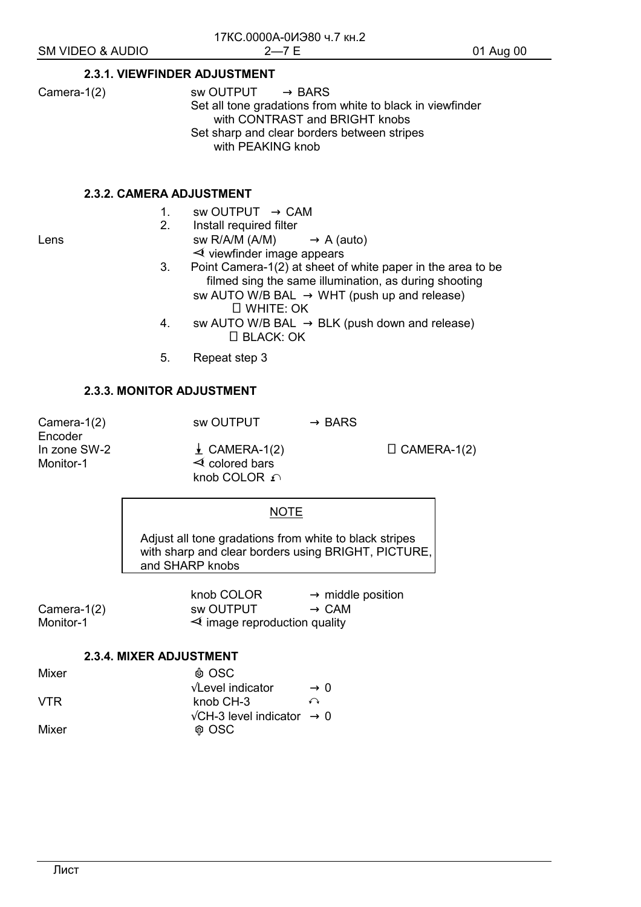#### **2.3.1. VIEWFINDER ADJUSTMENT**

Camera-1(2) sw OUTPUT  $\rightarrow$  BARS Set all tone gradations from white to black in viewfinder with CONTRAST and BRIGHT knobs Set sharp and clear borders between stripes with PEAKING knob

#### **2.3.2. CAMERA ADJUSTMENT**

1. sw OUTPUT  $\rightarrow$  CAM

- 
- 2. Install required filter Lens  $sw R/A/M (A/M) \rightarrow A (auto)$  $\prec$  viewfinder image appears
	- 3. Point Camera-1(2) at sheet of white paper in the area to be filmed sing the same illumination, as during shooting sw AUTO W/B BAL  $\rightarrow$  WHT (push up and release) □ WHITE: OK
	- 4. sw AUTO W/B BAL  $\rightarrow$  BLK (push down and release)  $\Box$  BLACK: OK
	- 5. Repeat step 3

## **2.3.3. MONITOR ADJUSTMENT**

Camera-1(2) sw OUTPUT  $\rightarrow$  BARS Encoder

In zone SW-2  $\downarrow$  CAMERA-1(2)  $\downarrow$  CAMERA-1(2) Monitor-1  $\leq$  colored bars knob COLOR  $\Omega$ 

#### NOTE

Adjust all tone gradations from white to black stripes with sharp and clear borders using BRIGHT, PICTURE, and SHARP knobs

knob COLOR  $\rightarrow$  middle position Camera-1(2) sw OUTPUT  $\rightarrow$  CAM<br>Monitor-1  $\rightarrow$  Monitor-1  $\prec$  image reproduction quality

### **2.3.4. MIXER ADJUSTMENT**

| Mixer | @ OSC                                         |                 |
|-------|-----------------------------------------------|-----------------|
|       | $\sqrt{\text{Level indicator}}$               | $\rightarrow$ 0 |
| VTR.  | knob CH-3                                     | ↶               |
|       | $\sqrt{CH-3}$ level indicator $\rightarrow 0$ |                 |
| Mixer | <b>ଜ OSC</b>                                  |                 |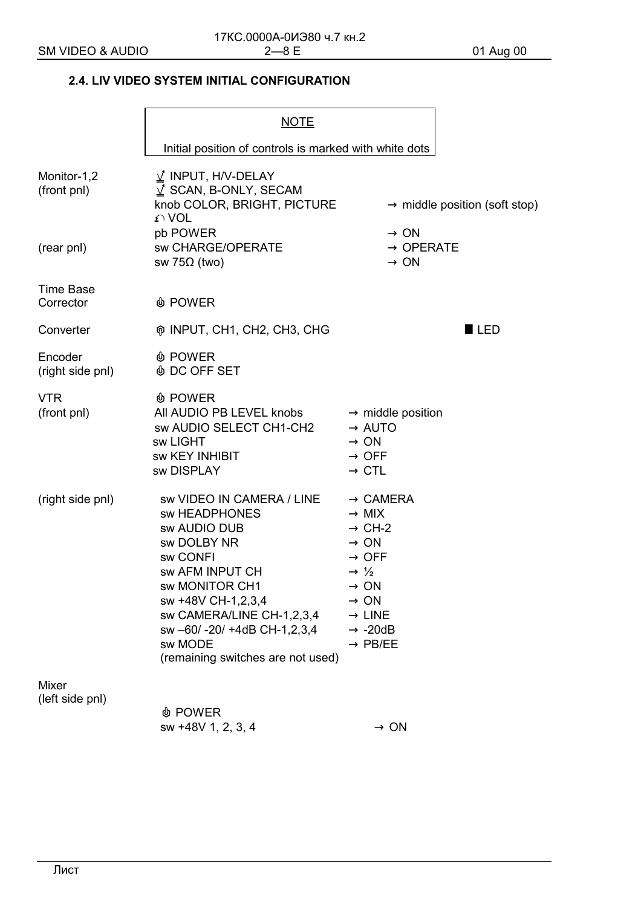## **2.4. LIV VIDEO SYSTEM INITIAL CONFIGURATION**

|                                          | <b>NOTE</b>                                                                                                                                                                                                                                                   |                                                                                                                                                                                                                                                   |                                           |
|------------------------------------------|---------------------------------------------------------------------------------------------------------------------------------------------------------------------------------------------------------------------------------------------------------------|---------------------------------------------------------------------------------------------------------------------------------------------------------------------------------------------------------------------------------------------------|-------------------------------------------|
|                                          | Initial position of controls is marked with white dots                                                                                                                                                                                                        |                                                                                                                                                                                                                                                   |                                           |
| Monitor-1,2<br>(front pnl)<br>(rear pnl) | $\angle$ INPUT, H/V-DELAY<br>$\sqrt{2}$ SCAN, B-ONLY, SECAM<br>knob COLOR, BRIGHT, PICTURE<br>$\Omega$ VOL<br>pb POWER<br>sw CHARGE/OPERATE                                                                                                                   | $\rightarrow$ ON<br>$\rightarrow$ OPERATE                                                                                                                                                                                                         | $\rightarrow$ middle position (soft stop) |
| <b>Time Base</b><br>Corrector            | sw 75Ω (two)<br><b><i>I</i></b> POWER                                                                                                                                                                                                                         | $\rightarrow$ ON                                                                                                                                                                                                                                  |                                           |
| Converter                                | ® INPUT, CH1, CH2, CH3, CHG                                                                                                                                                                                                                                   |                                                                                                                                                                                                                                                   | <b>LED</b>                                |
| Encoder<br>(right side pnl)              | <b><i>I</i></b> POWER<br><b>&amp; DC OFF SET</b>                                                                                                                                                                                                              |                                                                                                                                                                                                                                                   |                                           |
| <b>VTR</b><br>(front pnl)                | <b><i>I</i></b> POWER<br>All AUDIO PB LEVEL knobs<br>sw AUDIO SELECT CH1-CH2<br>sw LIGHT<br><b>SW KEY INHIBIT</b><br>sw DISPLAY                                                                                                                               | $\rightarrow$ middle position<br>$\rightarrow$ AUTO<br>$\rightarrow$ ON<br>$\rightarrow$ OFF<br>$\rightarrow$ CTL                                                                                                                                 |                                           |
| (right side pnl)                         | sw VIDEO IN CAMERA / LINE<br>sw HEADPHONES<br>sw AUDIO DUB<br>sw DOLBY NR<br>sw CONFI<br>sw AFM INPUT CH<br>sw MONITOR CH1<br>sw +48V CH-1,2,3,4<br>sw CAMERA/LINE CH-1,2,3,4<br>sw -60/ -20/ +4dB CH-1,2,3,4<br>sw MODE<br>(remaining switches are not used) | $\rightarrow$ CAMERA<br>$\rightarrow$ MIX<br>$\rightarrow$ CH-2<br>$\rightarrow$ ON<br>$\rightarrow$ OFF<br>$\rightarrow \frac{1}{2}$<br>$\rightarrow$ ON<br>$\rightarrow$ ON<br>$\rightarrow$ LINE<br>$\rightarrow$ -20dB<br>$\rightarrow$ PB/EE |                                           |
| <b>Mixer</b><br>(left side pnl)          | <b>I</b> POWER<br>sw +48V 1, 2, 3, 4                                                                                                                                                                                                                          | $\rightarrow$ ON                                                                                                                                                                                                                                  |                                           |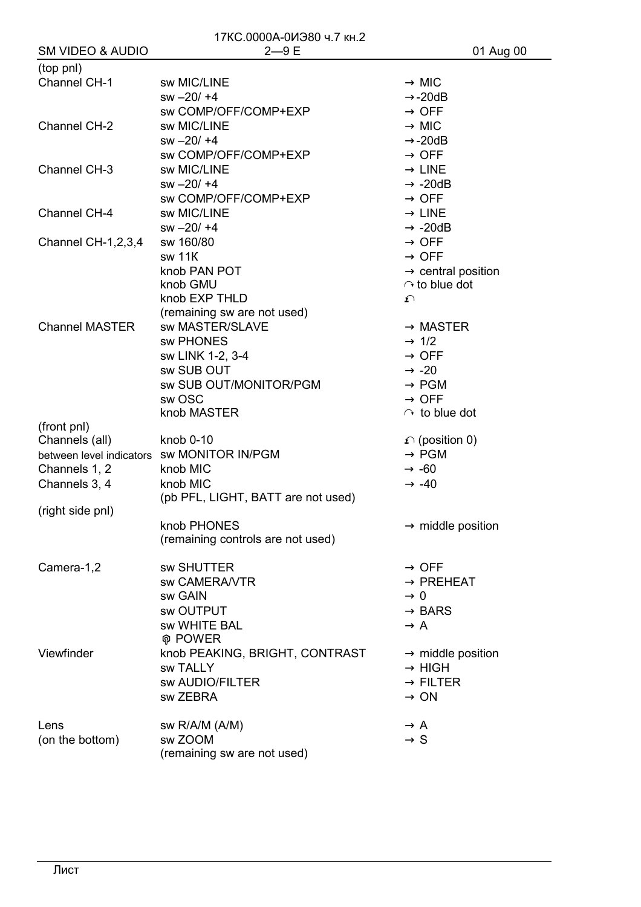| 17КС.0000А-0ИЭ80 ч.7 кн.2   |                                            |                                |  |
|-----------------------------|--------------------------------------------|--------------------------------|--|
| <b>SM VIDEO &amp; AUDIO</b> | $2 - 9E$                                   | 01 Aug 00                      |  |
| (top pnl)                   |                                            |                                |  |
| Channel CH-1                | sw MIC/LINE                                | $\rightarrow$ MIC              |  |
|                             | $sw - 20/ + 4$                             | $\rightarrow$ -20dB            |  |
|                             | sw COMP/OFF/COMP+EXP                       | $\rightarrow$ OFF              |  |
| Channel CH-2                | sw MIC/LINE                                | $\rightarrow$ MIC              |  |
|                             | $sw - 20/ + 4$                             | $\rightarrow$ -20dB            |  |
|                             | sw COMP/OFF/COMP+EXP                       | $\rightarrow$ OFF              |  |
| Channel CH-3                | sw MIC/LINE                                | $\rightarrow$ LINE             |  |
|                             | $sw - 20/ + 4$                             | $\rightarrow$ -20dB            |  |
|                             | sw COMP/OFF/COMP+EXP                       | $\rightarrow$ OFF              |  |
| Channel CH-4                | sw MIC/LINE                                | $\rightarrow$ LINE             |  |
|                             | $sw - 20/ + 4$                             | $\rightarrow$ -20dB            |  |
| Channel CH-1,2,3,4          | sw 160/80                                  | $\rightarrow$ OFF              |  |
|                             | sw 11K                                     | $\rightarrow$ OFF              |  |
|                             | knob PAN POT                               | $\rightarrow$ central position |  |
|                             | knob GMU                                   | $\cap$ to blue dot             |  |
|                             | knob EXP THLD                              | ᡗ                              |  |
|                             | (remaining sw are not used)                |                                |  |
| <b>Channel MASTER</b>       | sw MASTER/SLAVE                            | $\rightarrow$ MASTER           |  |
|                             | sw PHONES                                  | $\rightarrow$ 1/2              |  |
|                             | sw LINK 1-2, 3-4                           | $\rightarrow$ OFF              |  |
|                             | sw SUB OUT                                 | $\rightarrow$ -20              |  |
|                             | sw SUB OUT/MONITOR/PGM                     | $\rightarrow$ PGM              |  |
|                             | sw OSC                                     | $\rightarrow$ OFF              |  |
|                             | knob MASTER                                | $\cap$ to blue dot             |  |
| (front pnl)                 |                                            |                                |  |
| Channels (all)              | knob 0-10                                  | $\Omega$ (position 0)          |  |
|                             | between level indicators sw MONITOR IN/PGM | $\rightarrow$ PGM              |  |
| Channels 1, 2               | knob MIC                                   | $\rightarrow$ -60              |  |
| Channels 3, 4               | knob MIC                                   | $\rightarrow$ -40              |  |
|                             | (pb PFL, LIGHT, BATT are not used)         |                                |  |
| (right side pnl)            | knob PHONES                                | $\rightarrow$ middle position  |  |
|                             | (remaining controls are not used)          |                                |  |
|                             |                                            |                                |  |
| Camera-1,2                  | <b>sw SHUTTER</b>                          | $\rightarrow$ OFF              |  |
|                             | sw CAMERA/VTR                              | $\rightarrow$ PREHEAT          |  |
|                             | sw GAIN                                    | $\rightarrow 0$                |  |
|                             | sw OUTPUT                                  | $\rightarrow$ BARS             |  |
|                             | sw WHITE BAL                               | $\rightarrow$ A                |  |
|                             | <b>@ POWER</b>                             |                                |  |
| Viewfinder                  | knob PEAKING, BRIGHT, CONTRAST             | $\rightarrow$ middle position  |  |
|                             | <b>SW TALLY</b>                            | $\rightarrow$ HIGH             |  |
|                             | sw AUDIO/FILTER                            | $\rightarrow$ FILTER           |  |
|                             | sw ZEBRA                                   | $\rightarrow$ ON               |  |
|                             |                                            |                                |  |
| Lens                        | sw R/A/M (A/M)                             | $\rightarrow$ A                |  |
| (on the bottom)             | sw ZOOM                                    | $\rightarrow$ S                |  |
|                             | (remaining sw are not used)                |                                |  |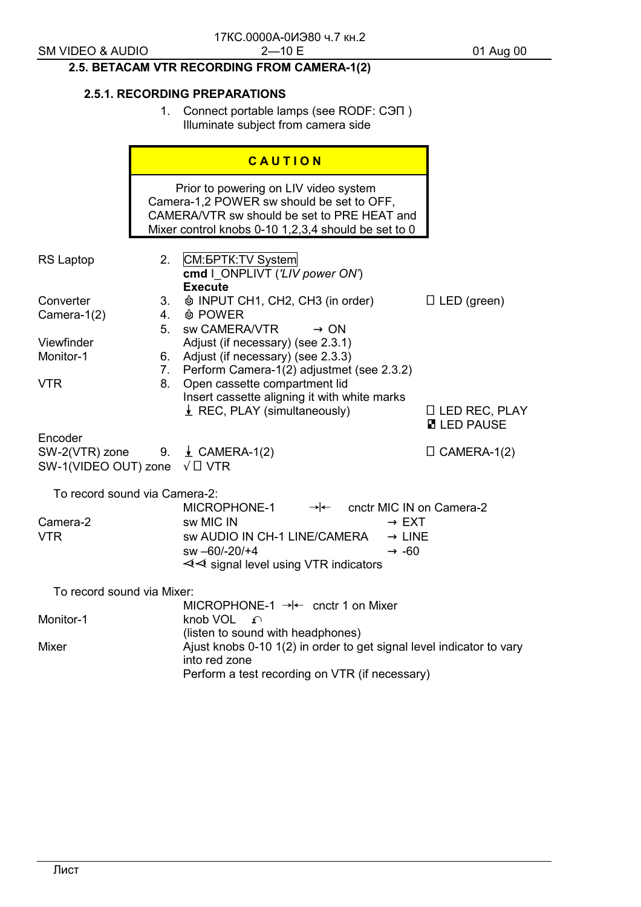# 2.5. BETACAM VTR RECORDING FROM CAMERA-1(2)

## **2.5.1. RECORDING PREPARATIONS**

1. Connect portable lamps (see RODF: CON) Illuminate subject from camera side

|                                                                                       |                | CAUTION                                                                                                                                                                                  |                                            |
|---------------------------------------------------------------------------------------|----------------|------------------------------------------------------------------------------------------------------------------------------------------------------------------------------------------|--------------------------------------------|
|                                                                                       |                | Prior to powering on LIV video system<br>Camera-1,2 POWER sw should be set to OFF,<br>CAMERA/VTR sw should be set to PRE HEAT and<br>Mixer control knobs 0-10 1,2,3,4 should be set to 0 |                                            |
| <b>RS Laptop</b>                                                                      | 2.             | CM: <b><i>GPTK</i></b> : TV System<br>cmd   ONPLIVT ('LIV power ON')<br><b>Execute</b>                                                                                                   |                                            |
| Converter<br>Camera-1(2)                                                              | 3.<br>4.<br>5. | <b><math>\phi</math> INPUT CH1, CH2, CH3 (in order)</b><br><b><i>I</i></b> POWER<br>sw CAMERA/VTR<br>$\rightarrow$ ON                                                                    | $\Box$ LED (green)                         |
| Viewfinder<br>Monitor-1                                                               | 6.<br>7.       | Adjust (if necessary) (see 2.3.1)<br>Adjust (if necessary) (see 2.3.3)<br>Perform Camera-1(2) adjustmet (see 2.3.2)                                                                      |                                            |
| <b>VTR</b>                                                                            | 8.             | Open cassette compartment lid<br>Insert cassette aligning it with white marks<br>$\perp$ REC, PLAY (simultaneously)                                                                      | $\Box$ LED REC, PLAY<br><b>N</b> LED PAUSE |
| Encoder<br>SW-2(VTR) zone 9. $\pm$ CAMERA-1(2)<br>SW-1(VIDEO OUT) zone $\sqrt{2}$ VTR |                |                                                                                                                                                                                          | $\Box$ CAMERA-1(2)                         |
| To record sound via Camera-2:                                                         |                | $\rightarrow$ - cnctr MIC IN on Camera-2<br>MICROPHONE-1                                                                                                                                 |                                            |
| Camera-2<br><b>VTR</b>                                                                |                | sw MIC IN<br>$\rightarrow$ EXT<br>sw AUDIO IN CH-1 LINE/CAMERA<br>$\rightarrow$ LINE<br>sw -60/-20/+4<br>$\rightarrow$ -60<br>$\triangleleft$ signal level using VTR indicators          |                                            |
| To record sound via Mixer:<br>MICROPHONE-1 $\rightarrow$ enctr 1 on Mixer             |                |                                                                                                                                                                                          |                                            |
| Monitor-1                                                                             |                | knob VOL n<br>(listen to sound with headphones)                                                                                                                                          |                                            |
| Mixer                                                                                 |                | Ajust knobs 0-10 1(2) in order to get signal level indicator to vary<br>into red zone<br>Perform a test recording on VTR (if necessary)                                                  |                                            |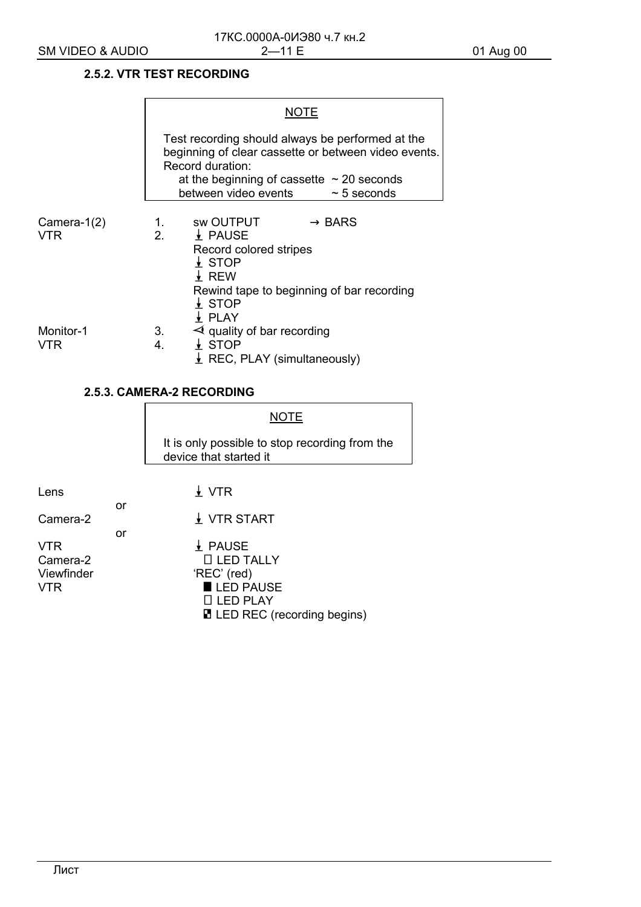## **2.5.2. VTR TEST RECORDING**

 $\blacksquare$ 

|                              | Test recording should always be performed at the<br>beginning of clear cassette or between video events.<br>Record duration:<br>at the beginning of cassette $\sim$ 20 seconds<br>between video events $\sim$ 5 seconds |
|------------------------------|-------------------------------------------------------------------------------------------------------------------------------------------------------------------------------------------------------------------------|
| Camera- $1(2)$<br><b>VTR</b> | 1. SWOUTPUT $\rightarrow$ BARS<br>2. $\downarrow$ PAUSE<br>Record colored stripes<br>$\downarrow$ STOP<br>$\downarrow$ REW<br>Rewind tape to beginning of bar recording<br>$\frac{1}{2}$ STOP<br>$\downarrow$ PLAY      |
| Monitor-1<br>VTR             | $\triangleleft$ quality of bar recording<br>3.<br>$\downarrow$ STOP<br>4.<br>$\perp$ REC, PLAY (simultaneously)                                                                                                         |

## **2.5.3. CAMERA-2 RECORDING**

|            |    | <b>NOTE</b>                                                              |
|------------|----|--------------------------------------------------------------------------|
|            |    | It is only possible to stop recording from the<br>device that started it |
|            |    |                                                                          |
| Lens       |    | $\downarrow$ VTR                                                         |
|            | or |                                                                          |
| Camera-2   |    | $\frac{1}{2}$ VTR START                                                  |
|            | or |                                                                          |
| <b>VTR</b> |    | $\downarrow$ PAUSE                                                       |
| Camera-2   |    | $\Box$ LED TALLY                                                         |
| Viewfinder |    | 'REC' (red)                                                              |
| <b>VTR</b> |    | LED PAUSE                                                                |
|            |    | $\square$ LED PLAY                                                       |
|            |    | <b>■ LED REC</b> (recording begins)                                      |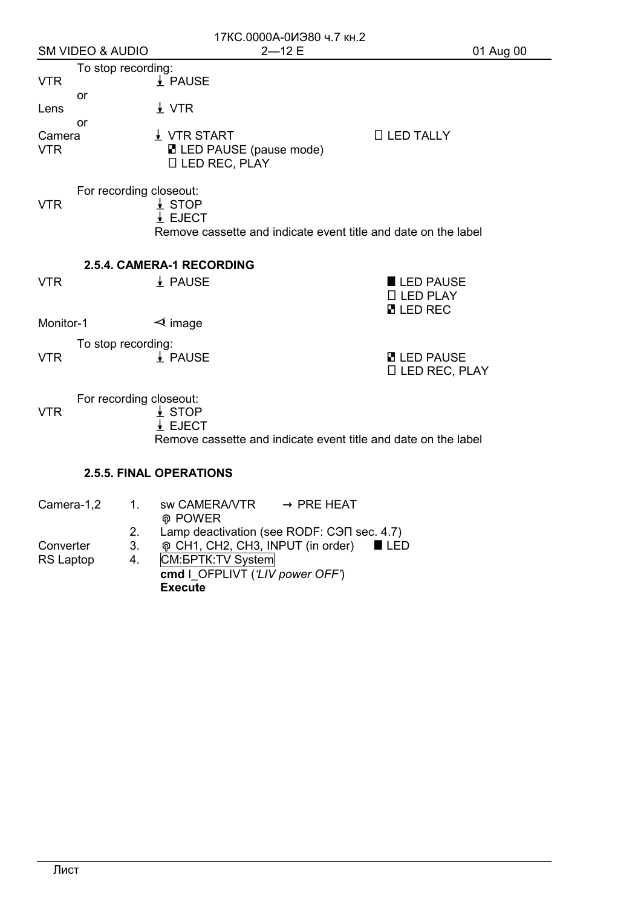|                      |                             |          |                                                                                     | 17КС.0000А-0ИЭ80 ч.7 кн.2                                                       |                                                                |           |
|----------------------|-----------------------------|----------|-------------------------------------------------------------------------------------|---------------------------------------------------------------------------------|----------------------------------------------------------------|-----------|
|                      | <b>SM VIDEO &amp; AUDIO</b> |          |                                                                                     | $2 - 12E$                                                                       |                                                                | 01 Aug 00 |
| <b>VTR</b>           | To stop recording:          |          | $\frac{1}{2}$ PAUSE                                                                 |                                                                                 |                                                                |           |
| Lens                 | or                          |          | $\frac{1}{2}$ VTR                                                                   |                                                                                 |                                                                |           |
| Camera<br><b>VTR</b> | or                          |          | $\downarrow$ VTR START<br><b>■ LED PAUSE (pause mode)</b><br><b>D LED REC, PLAY</b> |                                                                                 | $\Box$ LED TALLY                                               |           |
| <b>VTR</b>           | For recording closeout:     |          | $\perp$ STOP<br>$\frac{1}{2}$ EJECT                                                 |                                                                                 | Remove cassette and indicate event title and date on the label |           |
| <b>VTR</b>           |                             |          | 2.5.4. CAMERA-1 RECORDING<br>$\frac{1}{2}$ PAUSE                                    |                                                                                 | LED PAUSE<br>□ LED PLAY<br><b>N</b> LED REC                    |           |
| Monitor-1            |                             |          | $\triangleleft$ image                                                               |                                                                                 |                                                                |           |
| <b>VTR</b>           | To stop recording:          |          | $\frac{1}{2}$ PAUSE                                                                 |                                                                                 | <b>M</b> LED PAUSE<br>$\Box$ LED REC, PLAY                     |           |
| <b>VTR</b>           | For recording closeout:     |          | $\frac{1}{2}$ STOP<br>$\frac{1}{2}$ EJECT                                           |                                                                                 | Remove cassette and indicate event title and date on the label |           |
|                      |                             |          | <b>2.5.5. FINAL OPERATIONS</b>                                                      |                                                                                 |                                                                |           |
| Camera-1,2           |                             | 1.       | <b>@ POWER</b>                                                                      | $sw$ CAMERA/VTR $\longrightarrow$ PRE HEAT                                      |                                                                |           |
| Converter            |                             | 2.<br>3. |                                                                                     | Lamp deactivation (see RODF: CON sec. 4.7)<br>® CH1, CH2, CH3, INPUT (in order) | $\blacksquare$ LED                                             |           |

RS Laptop 4. CM: **GPTK:** TV System **cmd** I\_OFPLIVT (*'LIV power OFF'*) **Execute**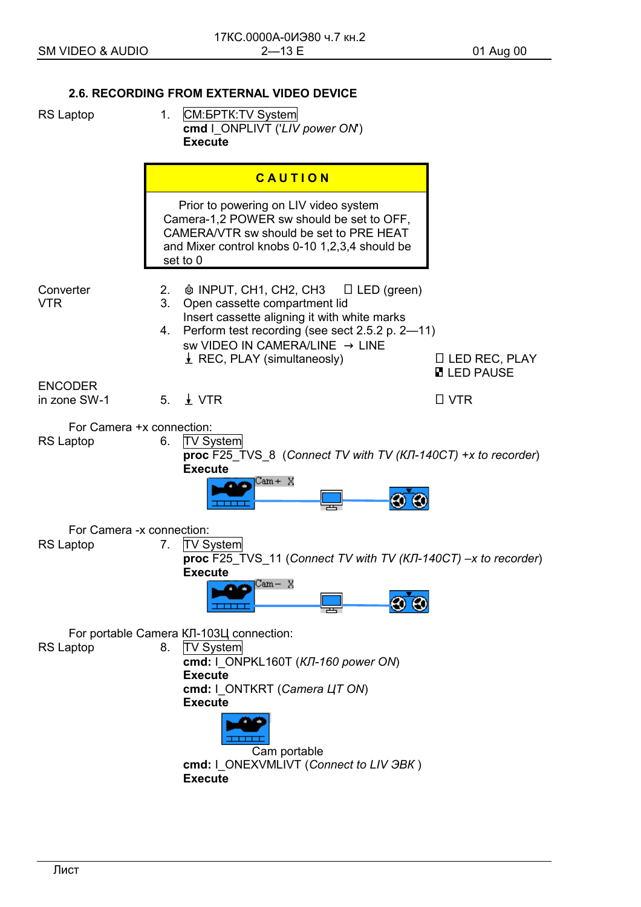## **2.6. RECORDING FROM EXTERNAL VIDEO DEVICE**

 $1<sup>1</sup>$ 

- **RS Laptop**
- **CM:BPTK:TV System** cmd | ONPLIVT ('LIV power ON') **Execute**

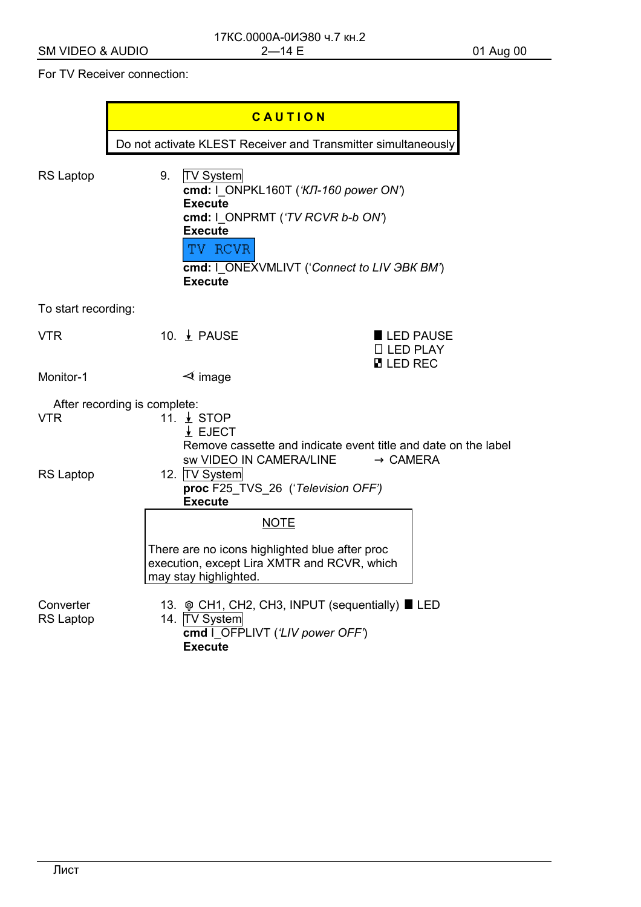## For TV Receiver connection:

|                               |                              | CAUTION                                                                                                                |                                                                                                                          |           |  |  |
|-------------------------------|------------------------------|------------------------------------------------------------------------------------------------------------------------|--------------------------------------------------------------------------------------------------------------------------|-----------|--|--|
|                               |                              | Do not activate KLEST Receiver and Transmitter simultaneously                                                          |                                                                                                                          |           |  |  |
| <b>RS Laptop</b>              | 9.                           | <b>TV System</b><br><b>Execute</b><br><b>Execute</b><br>TV RCVR<br><b>Execute</b>                                      | cmd: I_ONPKL160T ('KJT-160 power ON')<br>cmd: I_ONPRMT ('TV RCVR b-b ON')<br>cmd: I_ONEXVMLIVT ('Connect to LIV 3BK BM') |           |  |  |
| To start recording:           |                              |                                                                                                                        |                                                                                                                          |           |  |  |
| <b>VTR</b>                    |                              | 10. <b>↓</b> PAUSE                                                                                                     | $\Box$ LED PLAY<br><b>N</b> LED REC                                                                                      | LED PAUSE |  |  |
| Monitor-1                     |                              | $\triangleleft$ image                                                                                                  |                                                                                                                          |           |  |  |
|                               | After recording is complete: |                                                                                                                        |                                                                                                                          |           |  |  |
| <b>VTR</b>                    |                              | 11. <u>↓</u> STOP<br>$\frac{1}{2}$ EJECT                                                                               | Remove cassette and indicate event title and date on the label<br>sw VIDEO IN CAMERA/LINE<br>$\rightarrow$ CAMERA        |           |  |  |
| <b>RS Laptop</b>              |                              | 12. TV System<br><b>Execute</b>                                                                                        | proc F25_TVS_26 ('Television OFF')                                                                                       |           |  |  |
|                               |                              |                                                                                                                        | <b>NOTE</b>                                                                                                              |           |  |  |
|                               |                              | There are no icons highlighted blue after proc<br>execution, except Lira XMTR and RCVR, which<br>may stay highlighted. |                                                                                                                          |           |  |  |
| Converter<br><b>RS Laptop</b> |                              | 14. TV System<br><b>Execute</b>                                                                                        | 13. ® CH1, CH2, CH3, INPUT (sequentially) LED<br>cmd I_OFPLIVT ('LIV power OFF')                                         |           |  |  |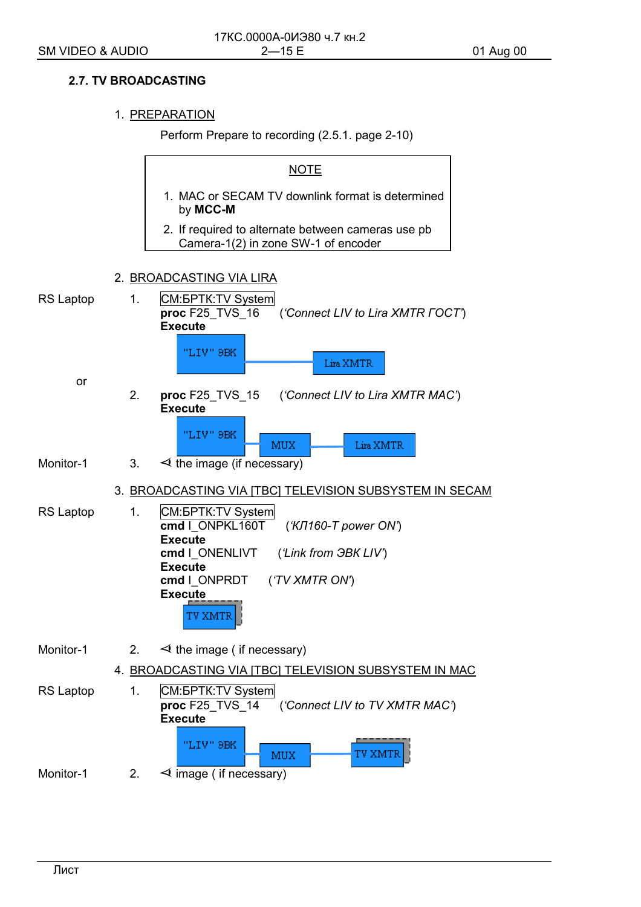## **2.7. TV BROADCASTING**

## 1. PREPARATION

Perform Prepare to recording (2.5.1. page 2-10)

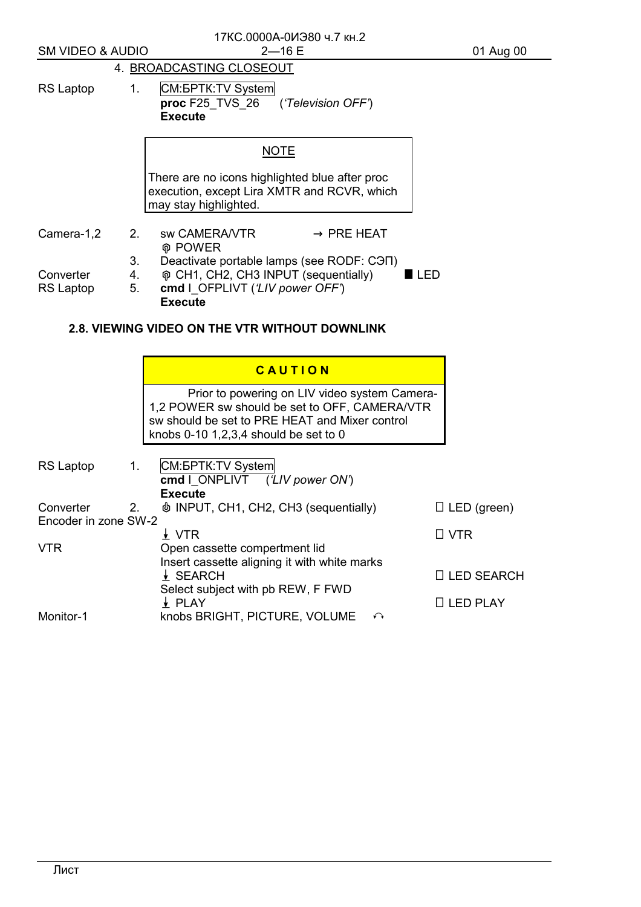|                                   |    | 17КС.0000А-0ИЭ80 ч.7 кн.2                                                                                                                                                                   |                    |  |  |  |
|-----------------------------------|----|---------------------------------------------------------------------------------------------------------------------------------------------------------------------------------------------|--------------------|--|--|--|
| <b>SM VIDEO &amp; AUDIO</b>       |    | $2 - 16E$                                                                                                                                                                                   | 01 Aug 00          |  |  |  |
| 4. BROADCASTING CLOSEOUT          |    |                                                                                                                                                                                             |                    |  |  |  |
| RS Laptop                         | 1. | CM: <b><i>GPTK: TV System</i></b><br>proc F25 TVS 26 ('Television OFF')<br><b>Execute</b>                                                                                                   |                    |  |  |  |
|                                   |    | <b>NOTE</b>                                                                                                                                                                                 |                    |  |  |  |
|                                   |    | There are no icons highlighted blue after proc<br>execution, except Lira XMTR and RCVR, which<br>may stay highlighted.                                                                      |                    |  |  |  |
| Camera-1,2                        | 2. | sw CAMERA/VTR<br>$\rightarrow$ PRE HEAT<br><b>⊕ POWER</b>                                                                                                                                   |                    |  |  |  |
|                                   | 3. | Deactivate portable lamps (see RODF: CHT)                                                                                                                                                   |                    |  |  |  |
| Converter                         | 4. | ® CH1, CH2, CH3 INPUT (sequentially)<br>LED                                                                                                                                                 |                    |  |  |  |
| <b>RS Laptop</b>                  | 5. | cmd I_OFPLIVT ('LIV power OFF')<br><b>Execute</b>                                                                                                                                           |                    |  |  |  |
|                                   |    | <b>2.8. VIEWING VIDEO ON THE VTR WITHOUT DOWNLINK</b>                                                                                                                                       |                    |  |  |  |
|                                   |    | CAUTION                                                                                                                                                                                     |                    |  |  |  |
|                                   |    | Prior to powering on LIV video system Camera-<br>1,2 POWER sw should be set to OFF, CAMERA/VTR<br>sw should be set to PRE HEAT and Mixer control<br>knobs $0-10$ 1,2,3,4 should be set to 0 |                    |  |  |  |
| <b>RS Laptop</b>                  | 1. | CM: <b><i>GPTK</i></b> : TV System<br>cmd   ONPLIVT ('LIV power ON')<br><b>Execute</b>                                                                                                      |                    |  |  |  |
| Converter<br>Encoder in zone SW-2 | 2  | <b><math>\phi</math> INPUT, CH1, CH2, CH3 (sequentially)</b>                                                                                                                                | $\Box$ LED (green) |  |  |  |
|                                   |    | $\frac{1}{2}$ VTR                                                                                                                                                                           | $\Box$ VTR         |  |  |  |
| <b>VTR</b>                        |    | Open cassette compertment lid<br>Insert cassette aligning it with white marks<br>$\frac{1}{2}$ SEARCH<br>Select subject with pb REW, F FWD                                                  | □ LED SEARCH       |  |  |  |

 $\overline{\perp}$  PLAY  $\overline{\perp}$  PLAY

Monitor-1 knobs BRIGHT, PICTURE, VOLUME  $\curvearrowleft$ 

## Лист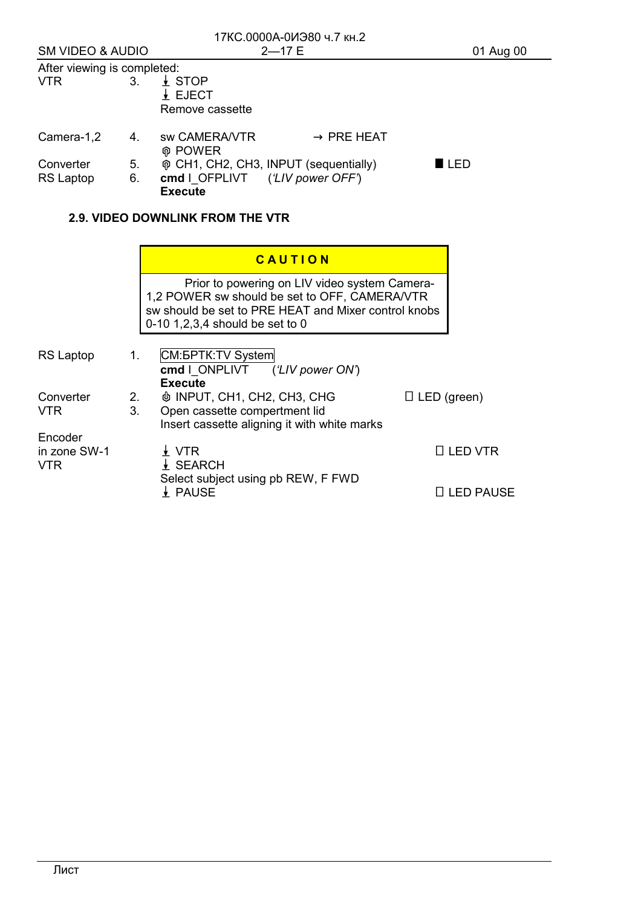| 17КС.0000А-0ИЭ80 ч.7 кн.2   |          |                                                                                                                                                                                              |                    |  |
|-----------------------------|----------|----------------------------------------------------------------------------------------------------------------------------------------------------------------------------------------------|--------------------|--|
| <b>SM VIDEO &amp; AUDIO</b> |          | $2 - 17E$                                                                                                                                                                                    | 01 Aug 00          |  |
| After viewing is completed: |          |                                                                                                                                                                                              |                    |  |
| <b>VTR</b>                  | 3.       | $\frac{1}{2}$ STOP<br>$\frac{1}{2}$ EJECT<br>Remove cassette                                                                                                                                 |                    |  |
| Camera-1,2                  | 4.       | sw CAMERA/VTR<br>$\rightarrow$ PRE HEAT<br><b>@ POWER</b>                                                                                                                                    |                    |  |
| Converter<br>RS Laptop      | 5.<br>6. | o CH1, CH2, CH3, INPUT (sequentially)<br>cmd   OFPLIVT ('LIV power OFF')<br><b>Execute</b>                                                                                                   | ■ LED              |  |
|                             |          | <b>2.9. VIDEO DOWNLINK FROM THE VTR</b>                                                                                                                                                      |                    |  |
|                             |          | CAUTION                                                                                                                                                                                      |                    |  |
|                             |          | Prior to powering on LIV video system Camera-<br>1,2 POWER sw should be set to OFF, CAMERA/VTR<br>sw should be set to PRE HEAT and Mixer control knobs<br>0-10 1, 2, 3, 4 should be set to 0 |                    |  |
| <b>RS Laptop</b>            | 1.       | CM: <b><i>GPTK: TV System</i></b><br>cmd I ONPLIVT ('LIV power ON')<br><b>Execute</b>                                                                                                        |                    |  |
| Converter<br><b>VTR</b>     | 2.<br>3. | <b><math>\phi</math> INPUT, CH1, CH2, CH3, CHG</b><br>Open cassette compertment lid<br>Insert cassette aligning it with white marks                                                          | $\Box$ LED (green) |  |
| Encoder<br>in zone SW-1     |          | $\frac{1}{2}$ VTR                                                                                                                                                                            | $\Box$ LED VTR     |  |

 $\overline{\mathbf{A}}$  PAUSE  $\overline{\mathbf{A}}$  PAUSE

VTR . SEARCH Select subject using pb REW, F FWD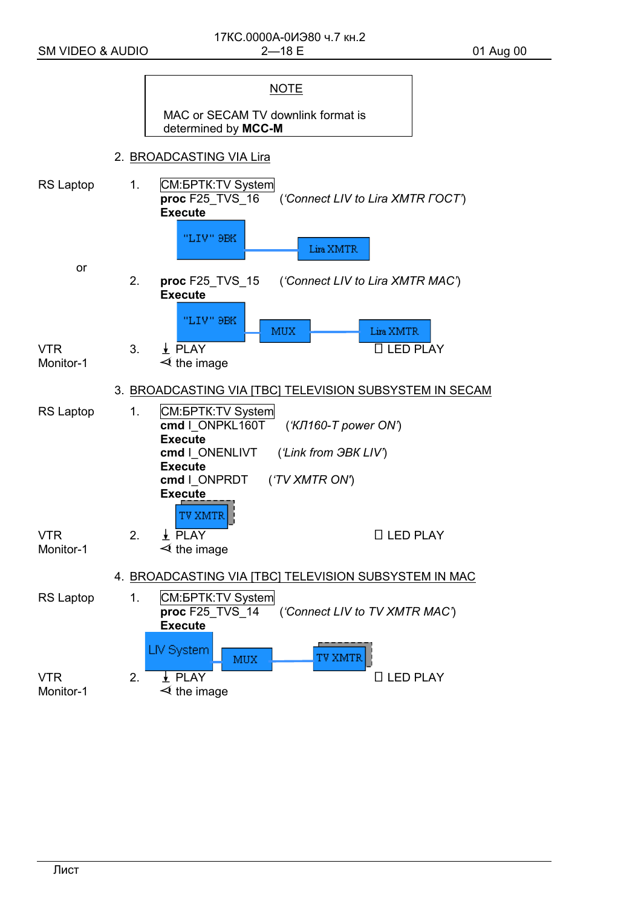|                         |                |                                                                         | <b>NOTE</b>                        |                                                         |
|-------------------------|----------------|-------------------------------------------------------------------------|------------------------------------|---------------------------------------------------------|
|                         |                | determined by MCC-M                                                     | MAC or SECAM TV downlink format is |                                                         |
|                         |                | 2. BROADCASTING VIA Lira                                                |                                    |                                                         |
| RS Laptop               | $\mathbf{1}$ . | CM: <b>BPTK: TV</b> System<br>proc F25 TVS 16<br><b>Execute</b>         |                                    | ('Connect LIV to Lira XMTR FOCT')                       |
|                         |                | "LIV" 9BK                                                               | Lira XMTR                          |                                                         |
| or                      | 2.             | <b>proc</b> F25_TVS_15<br><b>Execute</b>                                |                                    | ('Connect LIV to Lira XMTR MAC')                        |
|                         |                | "LIV" 9BK                                                               | <b>MUX</b>                         | Lira XMTR                                               |
| <b>VTR</b><br>Monitor-1 | 3.             | $\frac{1}{2}$ PLAY<br>$\triangleleft$ the image                         |                                    | □ LED PLAY                                              |
|                         |                |                                                                         |                                    | 3. BROADCASTING VIA [TBC] TELEVISION SUBSYSTEM IN SECAM |
| <b>RS Laptop</b>        | 1.             | CM: <b><i>GPTK: TV System</i></b><br>cmd   ONPKL160T<br><b>Execute</b>  | $(KJ160-T power ON')$              |                                                         |
|                         |                | cmd   ONENLIVT<br><b>Execute</b><br>cmd   ONPRDT ('TV XMTR ON')         | ('Link from <b>3BK LIV')</b>       |                                                         |
|                         |                | <b>Execute</b><br>'V XMTR                                               |                                    |                                                         |
| <b>VTR</b><br>Monitor-1 | 2.             | $\frac{1}{2}$ PLAY<br>$\triangleleft$ the image                         |                                    | $\Box$ LED PLAY                                         |
|                         |                | 4. BROADCASTING VIA [TBC] TELEVISION SUBSYSTEM IN MAC                   |                                    |                                                         |
| <b>RS Laptop</b>        | 1.             | CM: <b><i>GPTK</i></b> : TV System<br>proc F25 TVS 14<br><b>Execute</b> |                                    | ('Connect LIV to TV XMTR MAC')                          |
|                         |                | LIV System<br>MUX                                                       | <b>TV XMTR</b>                     |                                                         |
| <b>VTR</b><br>Monitor-1 | 2.             | $\frac{1}{2}$ PLAY<br>$\triangleleft$ the image                         |                                    | $\Box$ LED PLAY                                         |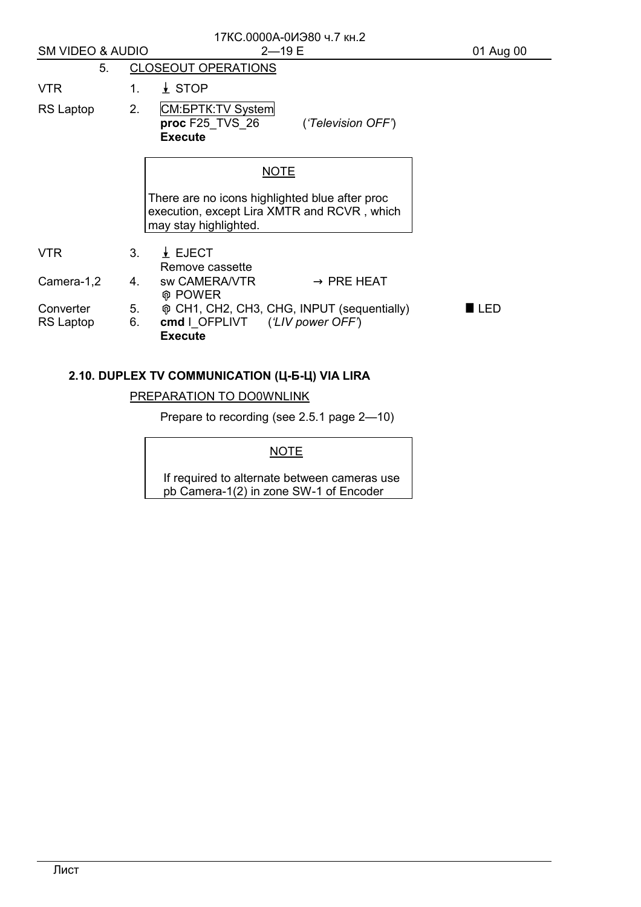| 17КС.0000А-0ИЭ80 ч.7 кн.2<br><b>SM VIDEO &amp; AUDIO</b><br>$2 - 19E$ |                          |                                                                                                                        | 01 Aug 00          |  |
|-----------------------------------------------------------------------|--------------------------|------------------------------------------------------------------------------------------------------------------------|--------------------|--|
| 5.                                                                    |                          | <b>CLOSEOUT OPERATIONS</b>                                                                                             |                    |  |
| <b>VTR</b>                                                            | $1_{-}$                  | $\frac{1}{2}$ STOP                                                                                                     |                    |  |
| RS Laptop                                                             | 2.                       | CM: <b><i>GPTK: TV System</i></b><br><b>proc</b> F25_TVS_26<br>('Television OFF')<br><b>Execute</b>                    |                    |  |
|                                                                       |                          | <b>NOTE</b>                                                                                                            |                    |  |
|                                                                       |                          | There are no icons highlighted blue after proc<br>execution, except Lira XMTR and RCVR, which<br>may stay highlighted. |                    |  |
| <b>VTR</b>                                                            | 3.                       | $\frac{1}{2}$ EJECT<br>Remove cassette                                                                                 |                    |  |
| Camera-1,2                                                            | 4.                       | sw CAMERA/VTR<br>$\rightarrow$ PRE HEAT<br><b>⊕ POWER</b>                                                              |                    |  |
| Converter<br><b>RS Laptop</b>                                         | 5.<br>6.                 | o CH1, CH2, CH3, CHG, INPUT (sequentially)<br>cmd   OFPLIVT ('LIV power OFF')<br><b>Execute</b>                        | $\blacksquare$ LED |  |
|                                                                       |                          | 2.10. DUPLEX TV COMMUNICATION (Ц-Б-Ц) VIA LIRA                                                                         |                    |  |
|                                                                       | PREPARATION TO DO0WNLINK |                                                                                                                        |                    |  |

Prepare to recording (see 2.5.1 page 2—10)

## **NOTE**

If required to alternate between cameras use pb Camera-1(2) in zone SW-1 of Encoder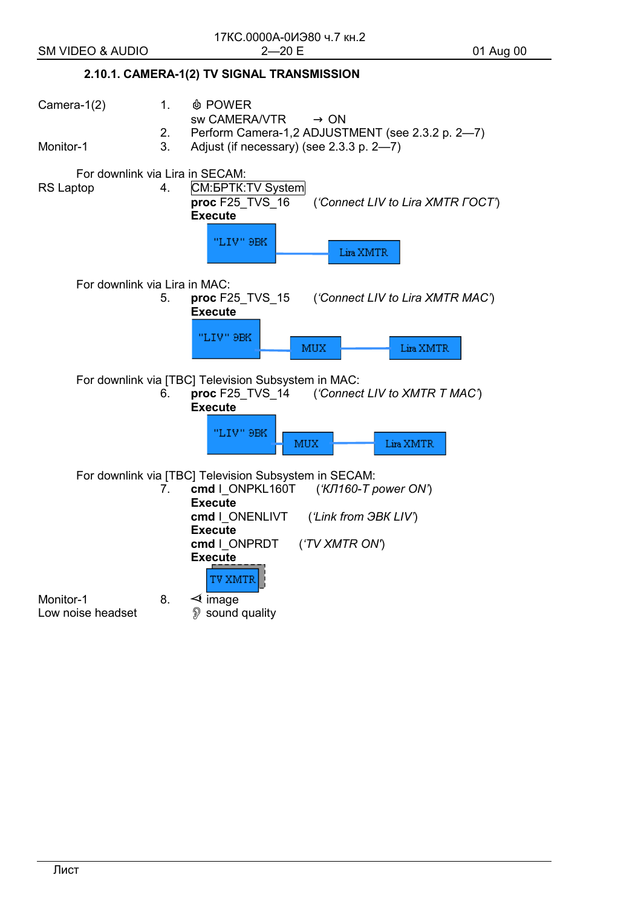## **2.10.1. CAMERA-1(2) TV SIGNAL TRANSMISSION**

Camera-1(2) 1. **b** POWER sw CAMERA/VTR → ON<br>2. Perform Camera-1.2 ADJUST 2. Perform Camera-1,2 ADJUSTMENT (see 2.3.2 p. 2—7) Monitor-1 3. Adjust (if necessary) (see 2.3.3 p. 2—7) For downlink via Lira in SECAM: RS Laptop 4. CM: BPTK: TV System  **proc** F25\_TVS\_16 (*'Connect LIV to Lira XMTR ГОСТ'*) **Execute**  "LIV" 9BK Lira XMTR For downlink via Lira in MAC: 5. **proc** F25\_TVS\_15 (*'Connect LIV to Lira XMTR MAC'*) **Execute**  "LIV" 9BK MUX Lira XMTR For downlink via [TBC] Television Subsystem in MAC: 6. **proc** F25\_TVS\_14 (*'Connect LIV to XMTR Т MAC'*) **Execute**  "I.TV" SBK MUX Lira XMTR For downlink via [TBC] Television Subsystem in SECAM:<br>7. cmd | ONPKL160T ('KJ160-T u 7. **cmd** I\_ONPKL160T (*'КЛ160-Т power ON'*) **Execute cmd** I\_ONENLIVT (*'Link from ЭВК LIV'*) **Execute cmd** I\_ONPRDT (*'TV XMTR ON'*) **Execute**  TV XMTR Monitor-1 8.  $\leq$  image Low noise headset  $\mathbb{D}$  sound quality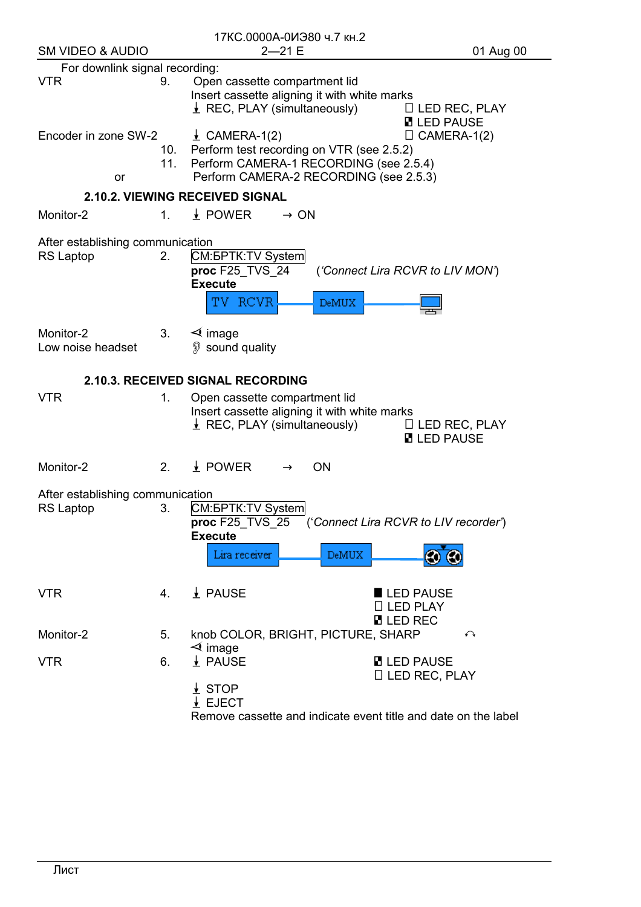|                                                      |             | 17КС.0000А-0ИЭ80 ч.7 кн.2                                                                                                                                 |                                                  |
|------------------------------------------------------|-------------|-----------------------------------------------------------------------------------------------------------------------------------------------------------|--------------------------------------------------|
| <b>SM VIDEO &amp; AUDIO</b>                          |             | $2 - 21E$                                                                                                                                                 | 01 Aug 00                                        |
| For downlink signal recording:                       |             |                                                                                                                                                           |                                                  |
| <b>VTR</b>                                           | 9.          | Open cassette compartment lid<br>Insert cassette aligning it with white marks<br>$\perp$ REC, PLAY (simultaneously)                                       | $\Box$ LED REC, PLAY<br><b>B</b> LED PAUSE       |
| Encoder in zone SW-2<br>11.<br>or                    |             | $\angle$ CAMERA-1(2)<br>10. Perform test recording on VTR (see 2.5.2)<br>Perform CAMERA-1 RECORDING (see 2.5.4)<br>Perform CAMERA-2 RECORDING (see 2.5.3) | $\Box$ CAMERA-1(2)                               |
|                                                      |             | 2.10.2. VIEWING RECEIVED SIGNAL                                                                                                                           |                                                  |
| Monitor-2                                            | $1_{-}$     | $\frac{1}{2}$ POWER<br>$\rightarrow$ ON                                                                                                                   |                                                  |
| After establishing communication<br><b>RS Laptop</b> | $2_{\cdot}$ | CM: <b><i>GPTK</i></b> : TV System<br>proc F25_TVS_24<br><b>Execute</b><br>TV RCVR<br><b>DeMUX</b>                                                        | ('Connect Lira RCVR to LIV MON')                 |
| Monitor-2<br>Low noise headset                       | 3.          | $\triangleleft$ image<br>imes sound quality ⊗                                                                                                             |                                                  |
|                                                      |             | 2.10.3. RECEIVED SIGNAL RECORDING                                                                                                                         |                                                  |
| <b>VTR</b>                                           | 1.          | Open cassette compartment lid<br>Insert cassette aligning it with white marks<br>$\perp$ REC, PLAY (simultaneously)                                       | $\Box$ LED REC, PLAY<br><b>E</b> LED PAUSE       |
| Monitor-2                                            | 2.          | $\frac{1}{2}$ POWER<br><b>ON</b>                                                                                                                          |                                                  |
| After establishing communication                     |             |                                                                                                                                                           |                                                  |
| RS Laptop                                            | 3.          | CM: <b><i>GPTK: TV System</i></b><br>proc F25_TVS_25<br><b>Execute</b><br>Lira receiver<br>DeMUX                                                          | ('Connect Lira RCVR to LIV recorder')            |
| <b>VTR</b>                                           | 4.          | $\frac{1}{2}$ PAUSE                                                                                                                                       | LED PAUSE<br>$\Box$ LED PLAY<br><b>N</b> LED REC |
| Monitor-2                                            | 5.          | knob COLOR, BRIGHT, PICTURE, SHARP<br>$\triangleleft$ image                                                                                               | ↶                                                |
| <b>VTR</b>                                           | 6.          | $\frac{1}{2}$ PAUSE                                                                                                                                       | <b>D</b> LED PAUSE<br>$\Box$ LED REC, PLAY       |
|                                                      |             | $\perp$ STOP<br>$\perp$ EJECT<br>Remove cassette and indicate event title and date on the label                                                           |                                                  |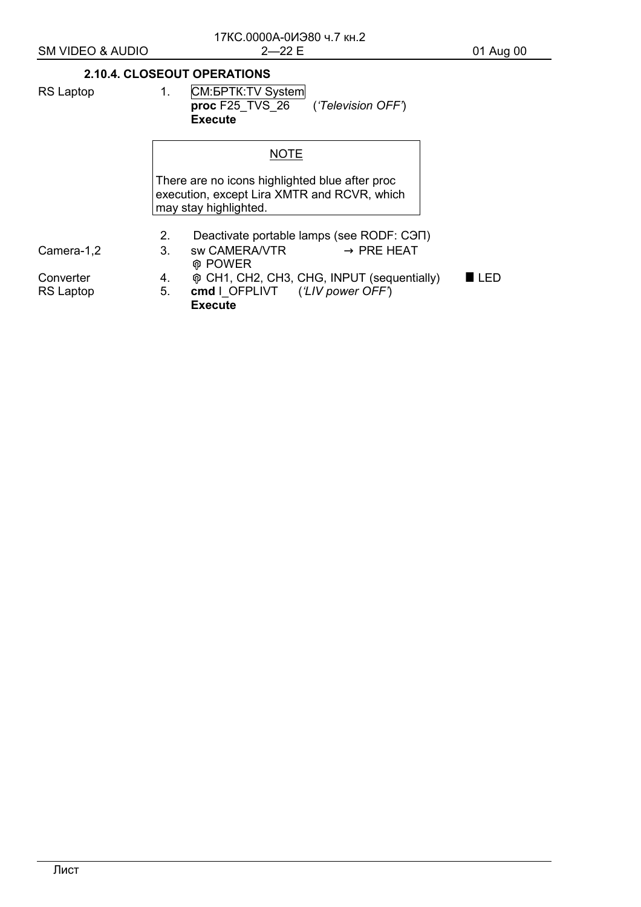|            |    | 2.10.4. CLOSEOUT OPERATIONS                                                                                            |
|------------|----|------------------------------------------------------------------------------------------------------------------------|
| RS Laptop  | 1. | CM: <b><i>GPTK: TV System</i></b><br>proc F25 TVS 26 ('Television OFF')<br><b>Execute</b>                              |
|            |    | <b>NOTE</b>                                                                                                            |
|            |    | There are no icons highlighted blue after proc<br>execution, except Lira XMTR and RCVR, which<br>may stay highlighted. |
|            | 2. | Deactivate portable lamps (see RODF: CON)                                                                              |
| Camera-1,2 | 3. | $\rightarrow$ PRE HEAT<br>sw CAMERA/VTR<br><b>@ POWER</b>                                                              |
| Converter  | 4. | ® CH1, CH2, CH3, CHG, INPUT (sequentially)<br>ED                                                                       |
| RS Laptop  | 5. | cmd I OFPLIVT ('LIV power OFF')                                                                                        |

Execute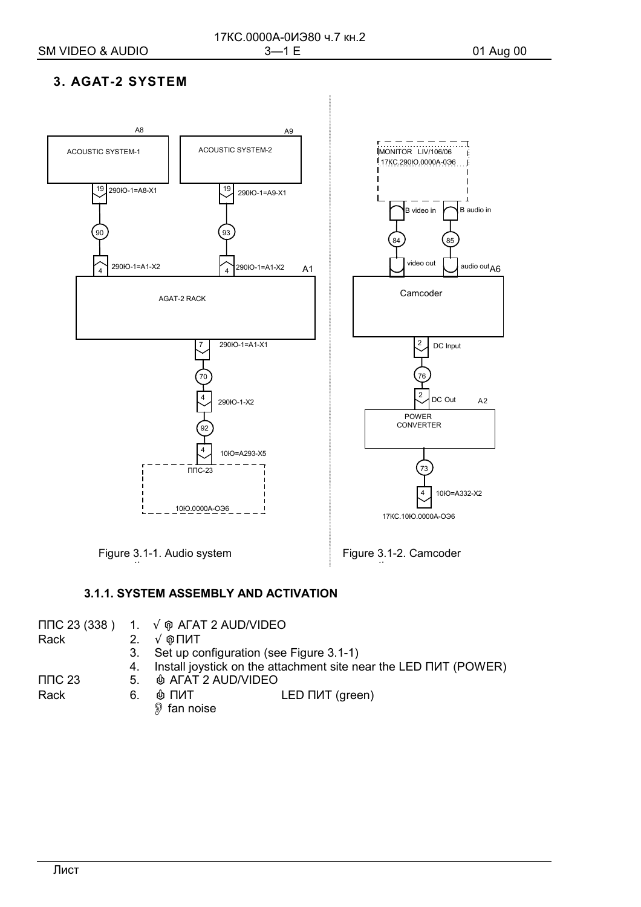# 3. AGAT-2 SYSTEM



## 3.1.1. SYSTEM ASSEMBLY AND ACTIVATION

|             |    | $\Pi \Pi C$ 23 (338) 1. $\sqrt{\varphi}$ AFAT 2 AUD/VIDEO        |
|-------------|----|------------------------------------------------------------------|
| Rack        | 2. | $\sqrt{\mathsf{Q}}$ ПИТ                                          |
|             | 3. | Set up configuration (see Figure 3.1-1)                          |
|             | 4. | Install joystick on the attachment site near the LED NUT (POWER) |
| $\Pi$ DC 23 | 5. | <b>IS AFAT 2 AUD/VIDEO</b>                                       |
| Rack        | 6. | ⊕ ПИТ<br>LED NAT (green)                                         |
|             |    | $\mathcal{D}$ fan noise                                          |
|             |    |                                                                  |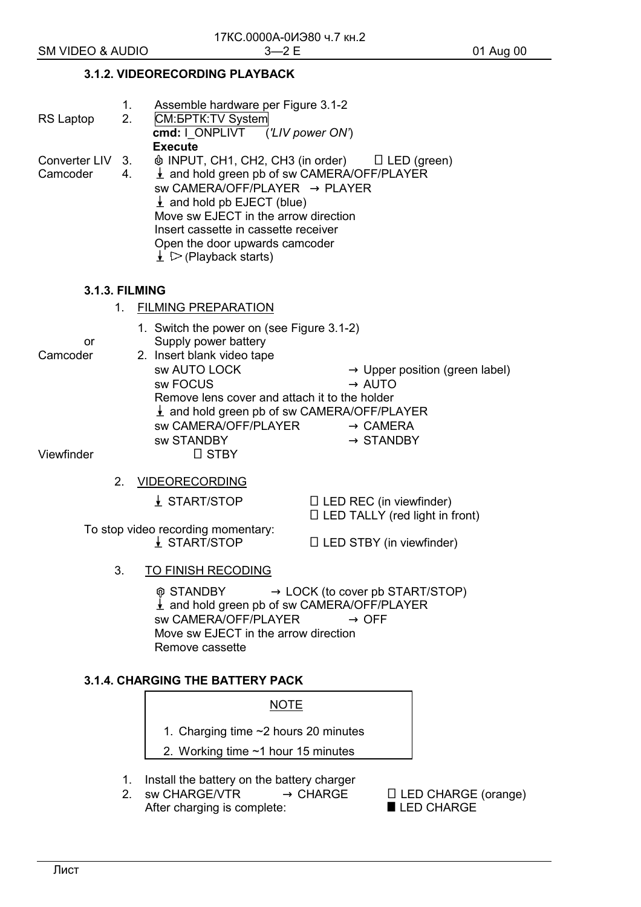## 3.1.2. VIDEORECORDING PLAYBACK

| RS Laptop                                                                                                                                                                                                                          | 1.<br>2.                             | Assemble hardware per Figure 3.1-2<br>CM: <b><i>GPTK</i></b> : TV System<br>cmd: I ONPLIVT ('LIV power ON')                                                                                                                                                                                                                                                                |                                                                                                                   |  |  |
|------------------------------------------------------------------------------------------------------------------------------------------------------------------------------------------------------------------------------------|--------------------------------------|----------------------------------------------------------------------------------------------------------------------------------------------------------------------------------------------------------------------------------------------------------------------------------------------------------------------------------------------------------------------------|-------------------------------------------------------------------------------------------------------------------|--|--|
|                                                                                                                                                                                                                                    |                                      | <b>Execute</b>                                                                                                                                                                                                                                                                                                                                                             |                                                                                                                   |  |  |
| Converter LIV<br>Camcoder                                                                                                                                                                                                          | 3.<br>4.                             | $\phi$ INPUT, CH1, CH2, CH3 (in order) $\Box$ LED (green)<br>$\frac{1}{2}$ and hold green pb of sw CAMERA/OFF/PLAYER<br>sw CAMERA/OFF/PLAYER $\rightarrow$ PLAYER<br>$\perp$ and hold pb EJECT (blue)<br>Move sw EJECT in the arrow direction<br>Insert cassette in cassette receiver<br>Open the door upwards camcoder<br>$\downarrow$ $\triangleright$ (Playback starts) |                                                                                                                   |  |  |
| <b>3.1.3. FILMING</b>                                                                                                                                                                                                              |                                      |                                                                                                                                                                                                                                                                                                                                                                            |                                                                                                                   |  |  |
|                                                                                                                                                                                                                                    | 1.                                   | <b>FILMING PREPARATION</b>                                                                                                                                                                                                                                                                                                                                                 |                                                                                                                   |  |  |
| or<br>Camcoder                                                                                                                                                                                                                     |                                      | 1. Switch the power on (see Figure 3.1-2)<br>Supply power battery<br>2. Insert blank video tape                                                                                                                                                                                                                                                                            |                                                                                                                   |  |  |
|                                                                                                                                                                                                                                    |                                      | sw AUTO LOCK<br>sw FOCUS<br>Remove lens cover and attach it to the holder<br>$\frac{1}{2}$ and hold green pb of sw CAMERA/OFF/PLAYER<br><b>sw CAMERA/OFF/PLAYER</b><br><b>SW STANDBY</b>                                                                                                                                                                                   | $\rightarrow$ Upper position (green label)<br>$\rightarrow$ AUTO<br>$\rightarrow$ CAMERA<br>$\rightarrow$ STANDBY |  |  |
| Viewfinder                                                                                                                                                                                                                         |                                      | $\Box$ STBY                                                                                                                                                                                                                                                                                                                                                                |                                                                                                                   |  |  |
|                                                                                                                                                                                                                                    | 2.                                   | <b>VIDEORECORDING</b>                                                                                                                                                                                                                                                                                                                                                      |                                                                                                                   |  |  |
|                                                                                                                                                                                                                                    |                                      | $\frac{1}{2}$ START/STOP                                                                                                                                                                                                                                                                                                                                                   | $\Box$ LED REC (in viewfinder)<br>$\Box$ LED TALLY (red light in front)                                           |  |  |
|                                                                                                                                                                                                                                    |                                      | To stop video recording momentary:<br>$\frac{1}{2}$ START/STOP                                                                                                                                                                                                                                                                                                             | $\Box$ LED STBY (in viewfinder)                                                                                   |  |  |
|                                                                                                                                                                                                                                    | 3.                                   | <b>TO FINISH RECODING</b>                                                                                                                                                                                                                                                                                                                                                  |                                                                                                                   |  |  |
| <b>ଜ STANDBY</b><br>$\rightarrow$ LOCK (to cover pb START/STOP)<br>$\frac{1}{2}$ and hold green pb of sw CAMERA/OFF/PLAYER<br>sw CAMERA/OFF/PLAYER<br>$\rightarrow$ OFF<br>Move sw EJECT in the arrow direction<br>Remove cassette |                                      |                                                                                                                                                                                                                                                                                                                                                                            |                                                                                                                   |  |  |
|                                                                                                                                                                                                                                    |                                      | <b>3.1.4. CHARGING THE BATTERY PACK</b>                                                                                                                                                                                                                                                                                                                                    |                                                                                                                   |  |  |
|                                                                                                                                                                                                                                    |                                      | <u>NOTE</u>                                                                                                                                                                                                                                                                                                                                                                |                                                                                                                   |  |  |
|                                                                                                                                                                                                                                    | 1. Charging time ~2 hours 20 minutes |                                                                                                                                                                                                                                                                                                                                                                            |                                                                                                                   |  |  |
| 2. Working time ~1 hour 15 minutes                                                                                                                                                                                                 |                                      |                                                                                                                                                                                                                                                                                                                                                                            |                                                                                                                   |  |  |

- 1. Install the battery on the battery charger
- 2. sw CHARGE/VTR  $\rightarrow$  CHARGE After charging is complete:

□ LED CHARGE (orange)<br>■ LED CHARGE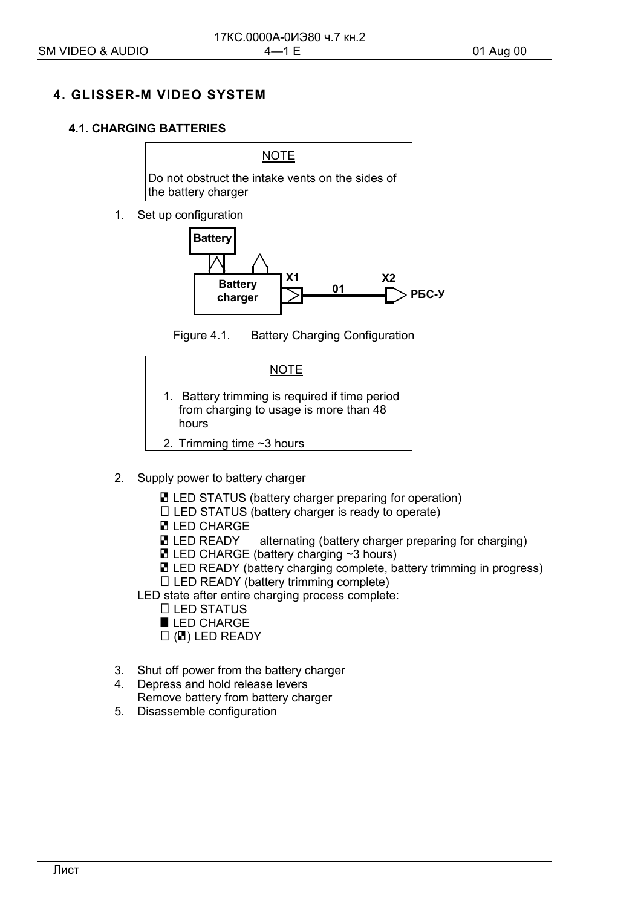## **4. GLISSER-M VIDEO SYSTEM**

## **4.1. CHARGING BATTERIES**

Do not obstruct the intake vents on the sides of the battery charger

**NOTE** 

1. Set up configuration



Figure 4.1. Battery Charging Configuration



- 2. Supply power to battery charger
	- **E** LED STATUS (battery charger preparing for operation)
	- $\Box$  LED STATUS (battery charger is ready to operate)
	- **E** LED CHARGE 1
	- $\blacksquare$  LED READY  $\blacksquare$  alternating (battery charger preparing for charging)
	- $\blacksquare$  LED CHARGE (battery charging  $\sim$ 3 hours)
	- **E** LED READY (battery charging complete, battery trimming in progress)
	- $\Box$  LED READY (battery trimming complete)

LED state after entire charging process complete:

- $\Box$  LED STATUS
- LED CHARGE
- $\Box$  ( $\Box$ ) LED READY
- 3. Shut off power from the battery charger
- 4. Depress and hold release levers Remove battery from battery charger
- 5. Disassemble configuration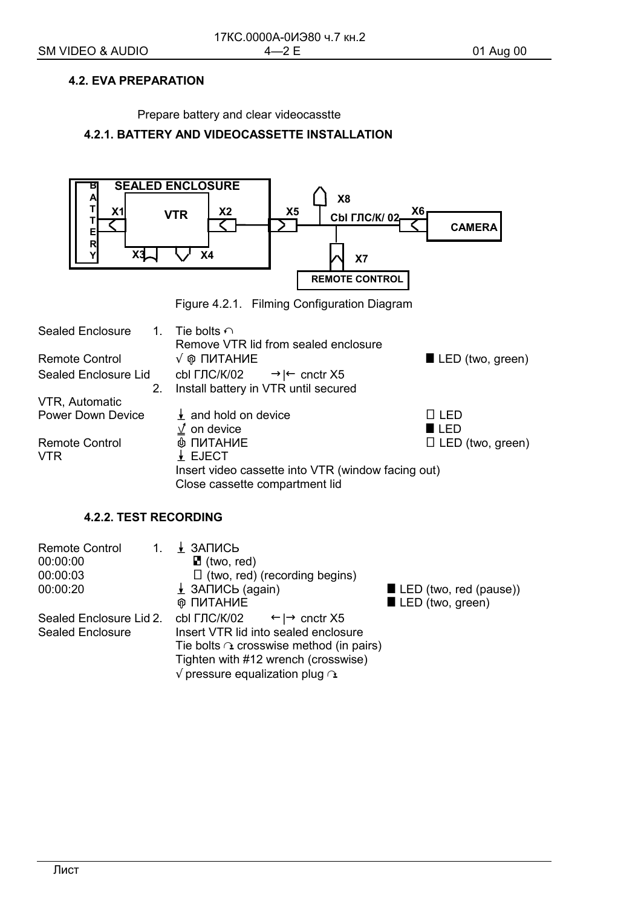## **4.2. EVA PREPARATION**

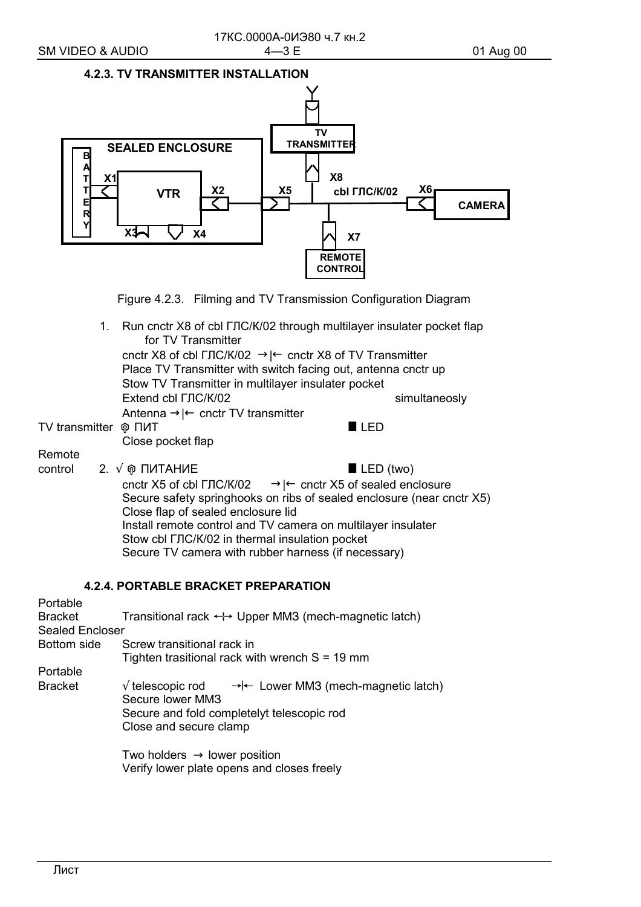

Figure 4.2.3. Filming and TV Transmission Configuration Diagram

1. Run cnctr X8 of cbl ГЛС/К/02 through multilayer insulater pocket flap for TV Transmitter

cnctr X8 of cbl ГЛС/К/02 →|← cnctr X8 of TV Transmitter Place TV Transmitter with switch facing out, antenna cnctr up Stow TV Transmitter in multilayer insulater pocket ] Extend cbl ГЛС/К/02 <br>
simultaneosly Antenna →|← cnctr TV transmitter

TV transmitter & ПИТ # LED

Close pocket flap

Remote

control 2.  $\sqrt{\varphi}$  ΠИТАНИЕ  $\blacksquare$  LED (two) cnctr X5 of cbl  $\Gamma$ ЛС/К/02  $\rightarrow$ |← cnctr X5 of sealed enclosure Secure safety springhooks on ribs of sealed enclosure (near cnctr X5) Close flap of sealed enclosure lid Install remote control and TV camera on multilayer insulater Stow cbl ГЛС/К/02 in thermal insulation pocket Secure TV camera with rubber harness (if necessary)

## **4.2.4. PORTABLE BRACKET PREPARATION**

Portable Bracket Transitional rack  $\leftrightarrow$  Upper MM3 (mech-magnetic latch) Sealed Encloser Bottom side Screw transitional rack in Tighten trasitional rack with wrench  $S = 19$  mm Portable Bracket  $\sqrt{\text{telescopic rod}} \rightarrow \leftarrow \text{Lower MM3 (mech-magnetic latch)}$ Secure lower ММЗ Secure and fold completelyt telescopic rod Close and secure clamp Two holders  $\rightarrow$  lower position

Verify lower plate opens and closes freely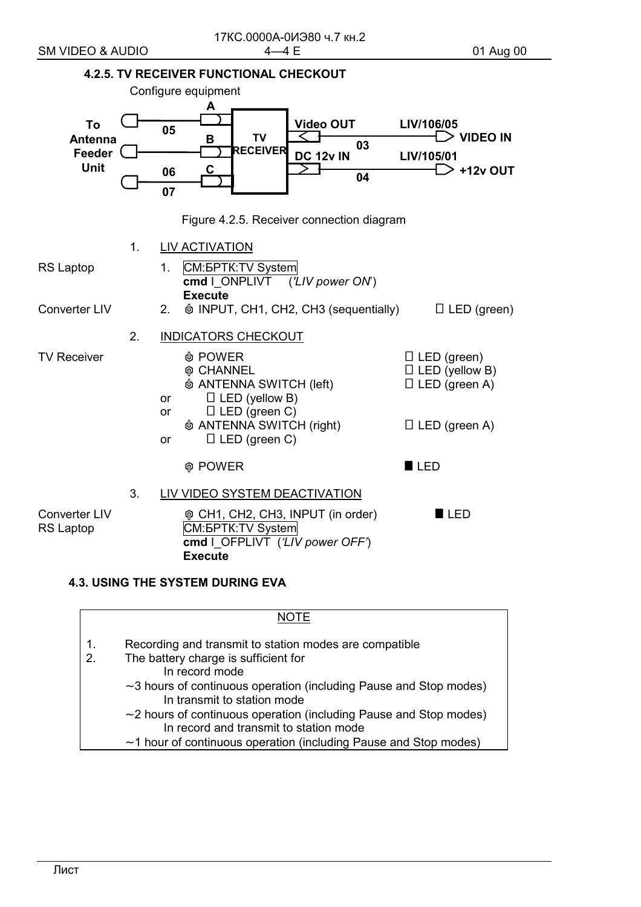

## **4.3. USING THE SYSTEM DURING EVA**

|          | JOTF                                                                                                              |
|----------|-------------------------------------------------------------------------------------------------------------------|
| 1.<br>2. | Recording and transmit to station modes are compatible<br>The battery charge is sufficient for<br>In record mode  |
|          | $\sim$ 3 hours of continuous operation (including Pause and Stop modes)<br>In transmit to station mode            |
|          | $\sim$ 2 hours of continuous operation (including Pause and Stop modes)<br>In record and transmit to station mode |
|          | $\sim$ 1 hour of continuous operation (including Pause and Stop modes)                                            |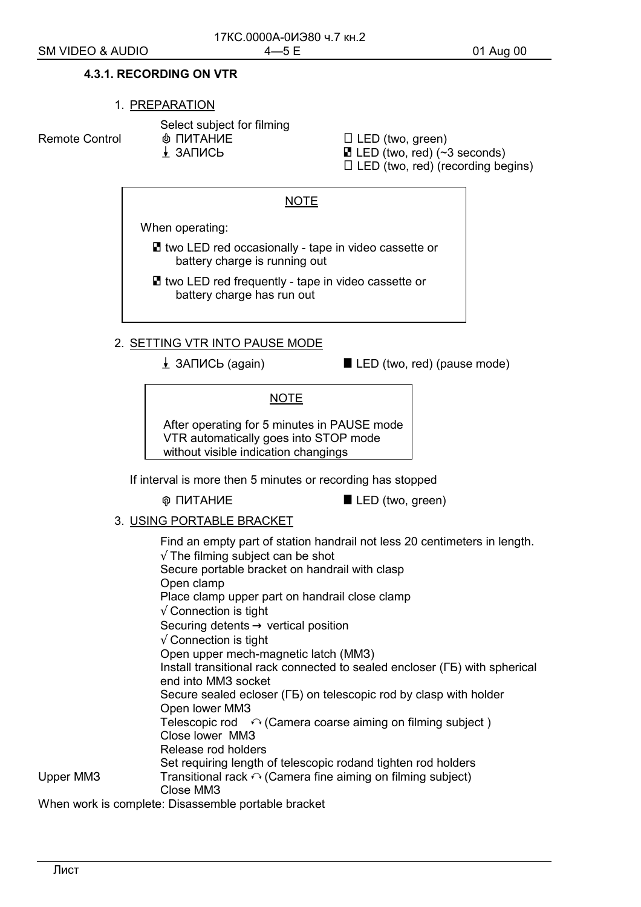#### **4.3.1. RECORDING ON VTR**

#### 1. PREPARATION

Select subject for filming

Remote Control  $\qquad \qquad \oplus$  ПИТАНИЕ  $\qquad \qquad \Box$  LED (two, green)

 $\perp$  3ANNCb **E** LED (two, red) (~3 seconds)

 $\Box$  LED (two, red) (recording begins)

### NOTE

When operating:

 $\blacksquare$  two LED red occasionally - tape in video cassette or battery charge is running out

■ two LED red frequently - tape in video cassette or battery charge has run out

#### 2. SETTING VTR INTO PAUSE MODE

 $\perp$  3ANUCb (again)  $\parallel$  LED (two, red) (pause mode)

NOTE

After operating for 5 minutes in PAUSE mode VTR automatically goes into STOP mode without visible indication changings

If interval is more then 5 minutes or recording has stopped

**⊕ ПИТАНИЕ**  $\blacksquare$  LED (two, green)

## 3. USING PORTABLE BRACKET

 Find an empty part of station handrail not less 20 centimeters in length.  $\sqrt{ }$  The filming subject can be shot Secure portable bracket on handrail with clasp Open clamp Place clamp upper part on handrail close clamp √ Connection is tight Securing detents  $\rightarrow$  vertical position  $\sqrt{ }$  Connection is tight Open upper mech-magnetic latch (ММЗ) Install transitional rack connected to sealed encloser (ГБ) with spherical end into ММЗ socket Secure sealed ecloser (ГБ) on telescopic rod by clasp with holder Open lower ММЗ Telescopic rod  $\leftrightarrow$  (Camera coarse aiming on filming subject) Close lower ММЗ Release rod holders Set requiring length of telescopic rodand tighten rod holders Upper MM3 Transitional rack  $\curvearrowright$  (Camera fine aiming on filming subject) Close ММЗ When work is complete: Disassemble portable bracket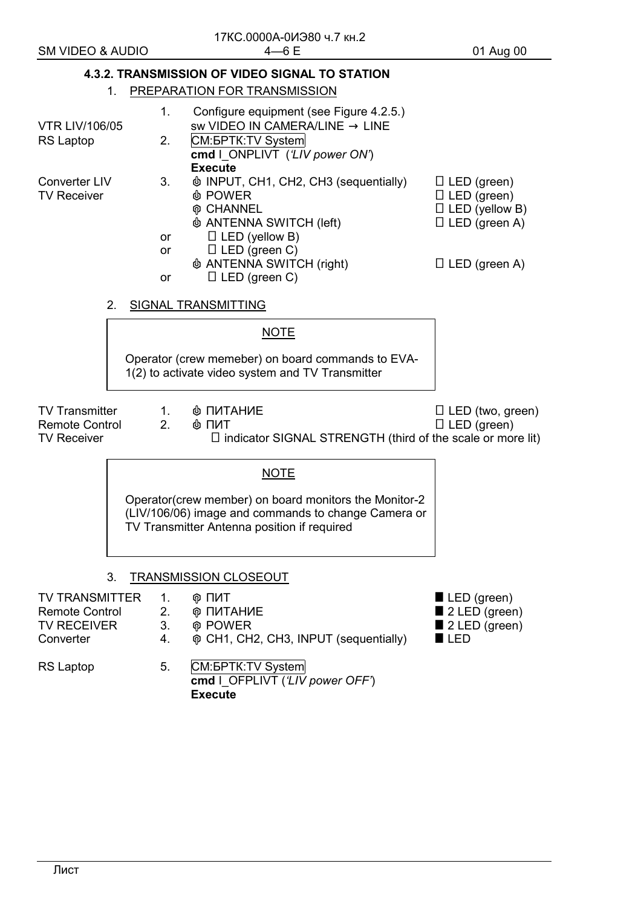|                                                                                                                                                              |                      | 4.3.2. TRANSMISSION OF VIDEO SIGNAL TO STATION                                                                                                                                  |                                                                                                   |
|--------------------------------------------------------------------------------------------------------------------------------------------------------------|----------------------|---------------------------------------------------------------------------------------------------------------------------------------------------------------------------------|---------------------------------------------------------------------------------------------------|
| 1.                                                                                                                                                           |                      | PREPARATION FOR TRANSMISSION                                                                                                                                                    |                                                                                                   |
| <b>VTR LIV/106/05</b><br><b>RS Laptop</b>                                                                                                                    | 1.<br>2.             | Configure equipment (see Figure 4.2.5.)<br>sw VIDEO IN CAMERA/LINE $\rightarrow$ LINE<br>CM: <b><i>GPTK</i></b> : TV System<br>cmd I ONPLIVT ('LIV power ON')<br><b>Execute</b> |                                                                                                   |
| Converter LIV<br><b>TV Receiver</b>                                                                                                                          | 3.<br>or             | <b><math>\phi</math> INPUT, CH1, CH2, CH3 (sequentially)</b><br><b><i>A</i></b> POWER<br><b>M</b> CHANNEL<br><b><i>I</i></b> ANTENNA SWITCH (left)<br>$\Box$ LED (yellow B)     | $\Box$ LED (green)<br>$\Box$ LED (green)<br>$\Box$ LED (yellow B)<br>$\Box$ LED (green A)         |
|                                                                                                                                                              | or<br>or             | $\Box$ LED (green C)<br><b><i><math>\phi</math> ANTENNA SWITCH (right)</i></b><br>$\Box$ LED (green C)                                                                          | $\Box$ LED (green A)                                                                              |
| 2.                                                                                                                                                           |                      | <b>SIGNAL TRANSMITTING</b>                                                                                                                                                      |                                                                                                   |
|                                                                                                                                                              |                      | <b>NOTE</b>                                                                                                                                                                     |                                                                                                   |
|                                                                                                                                                              |                      | Operator (crew memeber) on board commands to EVA-<br>1(2) to activate video system and TV Transmitter                                                                           |                                                                                                   |
| <b>TV Transmitter</b><br><b>Remote Control</b><br><b>TV Receiver</b>                                                                                         | 1.<br>2.             | Ф ПИТАНИЕ<br>⊕ ПИТ<br>$\Box$ indicator SIGNAL STRENGTH (third of the scale or more lit)                                                                                         | $\Box$ LED (two, green)<br>$\Box$ LED (green)                                                     |
| Operator (crew member) on board monitors the Monitor-2<br>(LIV/106/06) image and commands to change Camera or<br>TV Transmitter Antenna position if required |                      |                                                                                                                                                                                 |                                                                                                   |
| 3.                                                                                                                                                           |                      | TRANSMISSION CLOSEOUT                                                                                                                                                           |                                                                                                   |
| <b>TV TRANSMITTER</b><br><b>Remote Control</b><br><b>TV RECEIVER</b><br>Converter                                                                            | 1.<br>2.<br>3.<br>4. | ® UNL<br><b>© ПИТАНИЕ</b><br><b>@ POWER</b><br>o CH1, CH2, CH3, INPUT (sequentially)                                                                                            | LED (green)<br>$\blacksquare$ 2 LED (green)<br>$\blacksquare$ 2 LED (green)<br>$\blacksquare$ LED |
| <b>RS Laptop</b>                                                                                                                                             | 5.                   | CM: <b><i>GPTK</i></b> : TV System<br>cmd   OFPLIVT ('LIV power OFF')<br><b>Execute</b>                                                                                         |                                                                                                   |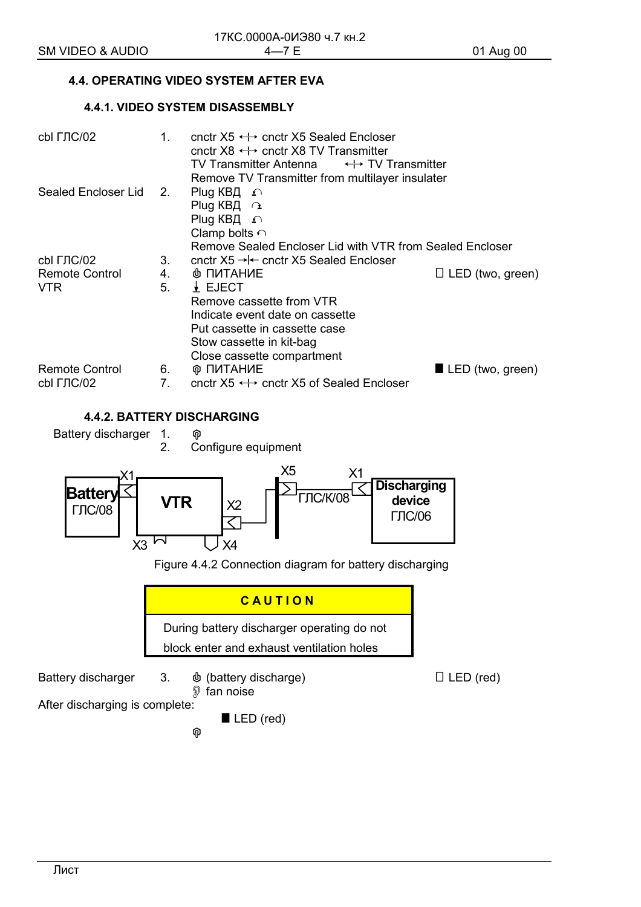## **4.4. OPERATING VIDEO SYSTEM AFTER EVA**

## **4.4.1. VIDEO SYSTEM DISASSEMBLY**

| cbl ГЛС/02             | $1_{-}$        | cnctr $X5 \leftrightarrow$ cnctr X5 Sealed Encloser<br>cnctr $X8 \leftrightarrow$ cnctr X8 TV Transmitter<br>TV Transmitter Antenna $\longleftrightarrow$ TV Transmitter<br>Remove TV Transmitter from multilayer insulater |                                 |
|------------------------|----------------|-----------------------------------------------------------------------------------------------------------------------------------------------------------------------------------------------------------------------------|---------------------------------|
| Sealed Encloser Lid 2. |                | Plug KB $\Box$<br>Plug КВД $\cap$<br>Plug KB $\Box$<br>Clamp bolts $\cap$                                                                                                                                                   |                                 |
|                        |                | Remove Sealed Encloser Lid with VTR from Sealed Encloser                                                                                                                                                                    |                                 |
| cbl ГЛС/02             | 3.             | cnctr $X5 \rightarrow \leftarrow$ cnctr X5 Sealed Encloser                                                                                                                                                                  |                                 |
| Remote Control         | 4.             | <b>INTAHUE</b>                                                                                                                                                                                                              | $\Box$ LED (two, green)         |
| <b>VTR</b>             | 5.             | $\frac{1}{2}$ EJECT                                                                                                                                                                                                         |                                 |
|                        |                | Remove cassette from VTR                                                                                                                                                                                                    |                                 |
|                        |                | Indicate event date on cassette                                                                                                                                                                                             |                                 |
|                        |                | Put cassette in cassette case                                                                                                                                                                                               |                                 |
|                        |                | Stow cassette in kit-bag                                                                                                                                                                                                    |                                 |
|                        |                | Close cassette compartment                                                                                                                                                                                                  |                                 |
| Remote Control         | 6.             | <b>® ПИТАНИЕ</b>                                                                                                                                                                                                            | $\blacksquare$ LED (two, green) |
|                        |                |                                                                                                                                                                                                                             |                                 |
| cbl ГЛС/02             | 7 <sub>1</sub> | cnctr $X5 \leftrightarrow$ cnctr X5 of Sealed Encloser                                                                                                                                                                      |                                 |

## **4.4.2. BATTERY DISCHARGING**

Battery discharger 1.  $\circledcirc$ 

2. Configure equipment

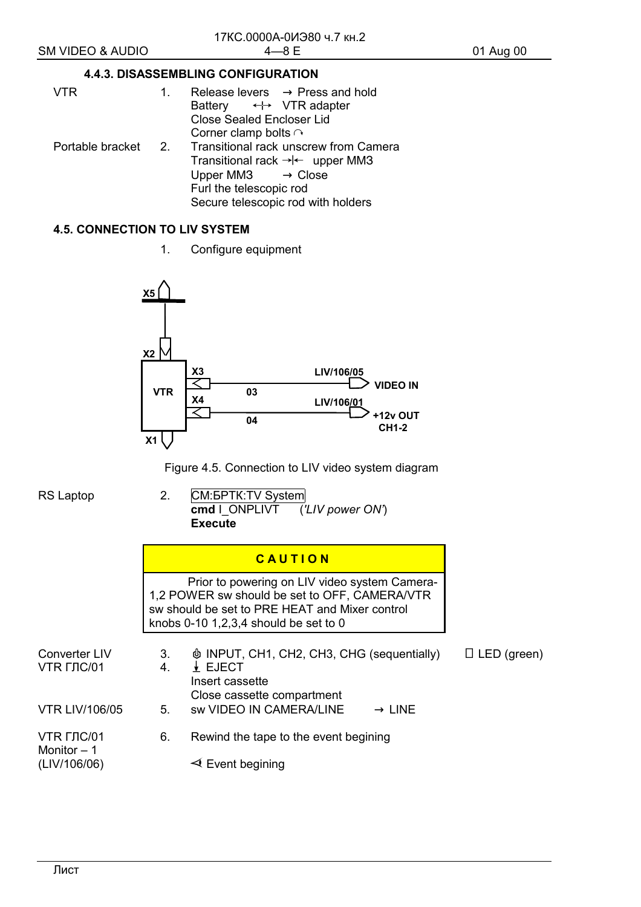## **4.4.3. DISASSEMBLING CONFIGURATION**

| <b>VTR</b> | 1. | Release levers $\rightarrow$ Press and hold<br>Battery $\leftrightarrow$ VTR adapter<br><b>Close Sealed Encloser Lid</b><br>Corner clamp bolts $\cap$                                                      |
|------------|----|------------------------------------------------------------------------------------------------------------------------------------------------------------------------------------------------------------|
|            |    | Portable bracket 2. Transitional rack unscrew from Camera<br>Transitional rack $\rightarrow$ + upper MM3<br>Upper MM3 $\rightarrow$ Close<br>Furl the telescopic rod<br>Secure telescopic rod with holders |

## **4.5. CONNECTION TO LIV SYSTEM**

1. Configure equipment



Figure 4.5. Connection to LIV video system diagram

RS Laptop 2. CM: **GM: BPTK: TV System cmd** I\_ONPLIVT (*'LIV power ON'*) **Execute** 

|  | CAUTION |  |
|--|---------|--|
|  |         |  |

 Prior to powering on LIV video system Camera-1,2 POWER sw should be set to OFF, CAMERA/VTR sw should be set to PRE HEAT and Mixer control knobs 0-10 1,2,3,4 should be set to 0

| Converter LIV<br>VTR ГЛС/01 | 3.<br>4. | <b><math>\phi</math> INPUT, CH1, CH2, CH3, CHG (sequentially)</b><br>$\Box$ LED (green)<br>$\downarrow$ EJECT<br>Insert cassette<br>Close cassette compartment |
|-----------------------------|----------|----------------------------------------------------------------------------------------------------------------------------------------------------------------|
| <b>VTR LIV/106/05</b>       | 5.       | <b>sw VIDEO IN CAMERA/LINE</b><br>$\rightarrow$ LINE                                                                                                           |
| VTR ГЛС/01<br>Monitor $-1$  | 6.       | Rewind the tape to the event begining                                                                                                                          |
| (LIV/106/06)                |          | $\triangleleft$ Event begining                                                                                                                                 |